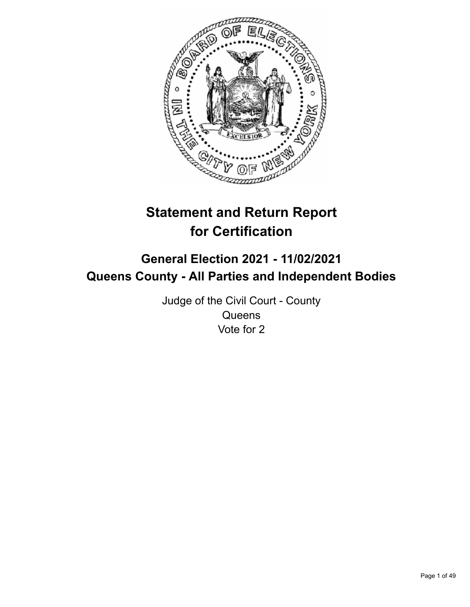

# **Statement and Return Report for Certification**

## **General Election 2021 - 11/02/2021 Queens County - All Parties and Independent Bodies**

Judge of the Civil Court - County **Queens** Vote for 2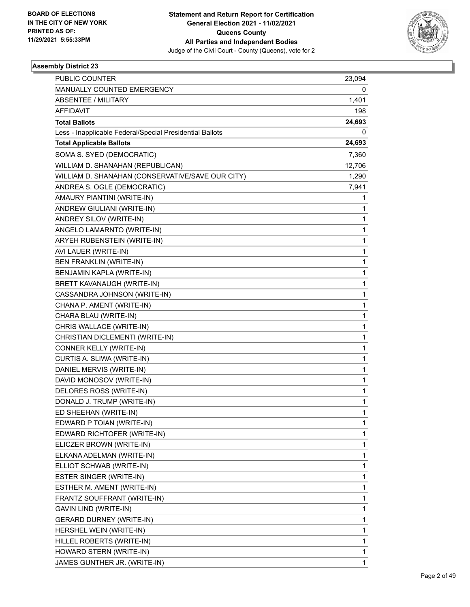

| PUBLIC COUNTER                                           | 23,094 |
|----------------------------------------------------------|--------|
| MANUALLY COUNTED EMERGENCY                               | 0      |
| ABSENTEE / MILITARY                                      | 1,401  |
| AFFIDAVIT                                                | 198    |
| <b>Total Ballots</b>                                     | 24,693 |
| Less - Inapplicable Federal/Special Presidential Ballots | 0      |
| <b>Total Applicable Ballots</b>                          | 24,693 |
| SOMA S. SYED (DEMOCRATIC)                                | 7,360  |
| WILLIAM D. SHANAHAN (REPUBLICAN)                         | 12,706 |
| WILLIAM D. SHANAHAN (CONSERVATIVE/SAVE OUR CITY)         | 1,290  |
| ANDREA S. OGLE (DEMOCRATIC)                              | 7,941  |
| AMAURY PIANTINI (WRITE-IN)                               | 1      |
| ANDREW GIULIANI (WRITE-IN)                               | 1      |
| ANDREY SILOV (WRITE-IN)                                  | 1      |
| ANGELO LAMARNTO (WRITE-IN)                               | 1      |
| ARYEH RUBENSTEIN (WRITE-IN)                              | 1      |
| AVI LAUER (WRITE-IN)                                     | 1      |
| BEN FRANKLIN (WRITE-IN)                                  | 1      |
| BENJAMIN KAPLA (WRITE-IN)                                | 1      |
| BRETT KAVANAUGH (WRITE-IN)                               | 1      |
| CASSANDRA JOHNSON (WRITE-IN)                             | 1      |
| CHANA P. AMENT (WRITE-IN)                                | 1      |
| CHARA BLAU (WRITE-IN)                                    | 1      |
| CHRIS WALLACE (WRITE-IN)                                 | 1      |
| CHRISTIAN DICLEMENTI (WRITE-IN)                          | 1      |
| CONNER KELLY (WRITE-IN)                                  | 1      |
| CURTIS A. SLIWA (WRITE-IN)                               | 1      |
| DANIEL MERVIS (WRITE-IN)                                 | 1      |
| DAVID MONOSOV (WRITE-IN)                                 | 1      |
| DELORES ROSS (WRITE-IN)                                  | 1      |
| DONALD J. TRUMP (WRITE-IN)                               | 1      |
| ED SHEEHAN (WRITE-IN)                                    | 1      |
| EDWARD P TOIAN (WRITE-IN)                                | 1      |
| EDWARD RICHTOFER (WRITE-IN)                              | 1      |
| ELICZER BROWN (WRITE-IN)                                 | 1      |
| ELKANA ADELMAN (WRITE-IN)                                | 1      |
| ELLIOT SCHWAB (WRITE-IN)                                 | 1      |
| ESTER SINGER (WRITE-IN)                                  | 1      |
| ESTHER M. AMENT (WRITE-IN)                               | 1      |
| FRANTZ SOUFFRANT (WRITE-IN)                              | 1      |
| GAVIN LIND (WRITE-IN)                                    | 1      |
| <b>GERARD DURNEY (WRITE-IN)</b>                          | 1      |
| HERSHEL WEIN (WRITE-IN)                                  | 1      |
| HILLEL ROBERTS (WRITE-IN)                                | 1      |
| HOWARD STERN (WRITE-IN)                                  | 1      |
| JAMES GUNTHER JR. (WRITE-IN)                             | 1      |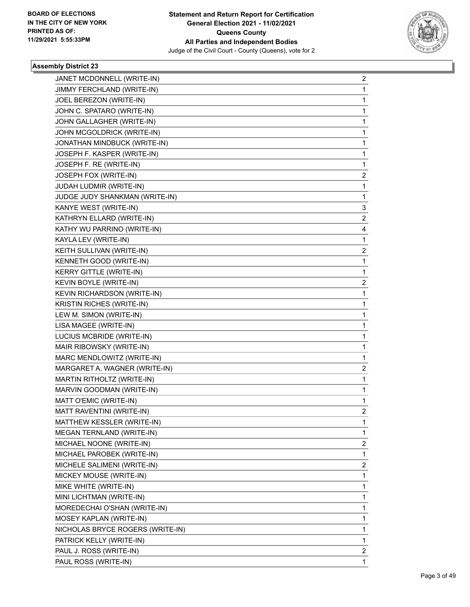

| JANET MCDONNELL (WRITE-IN)         | $\overline{2}$          |
|------------------------------------|-------------------------|
| JIMMY FERCHLAND (WRITE-IN)         | 1                       |
| JOEL BEREZON (WRITE-IN)            | 1                       |
| JOHN C. SPATARO (WRITE-IN)         | 1                       |
| JOHN GALLAGHER (WRITE-IN)          | 1                       |
| JOHN MCGOLDRICK (WRITE-IN)         | 1                       |
| JONATHAN MINDBUCK (WRITE-IN)       | 1                       |
| JOSEPH F. KASPER (WRITE-IN)        | 1                       |
| JOSEPH F. RE (WRITE-IN)            | 1                       |
| JOSEPH FOX (WRITE-IN)              | 2                       |
| JUDAH LUDMIR (WRITE-IN)            | 1                       |
| JUDGE JUDY SHANKMAN (WRITE-IN)     | 1                       |
| KANYE WEST (WRITE-IN)              | 3                       |
| KATHRYN ELLARD (WRITE-IN)          | 2                       |
| KATHY WU PARRINO (WRITE-IN)        | 4                       |
| KAYLA LEV (WRITE-IN)               | 1                       |
| KEITH SULLIVAN (WRITE-IN)          | 2                       |
| KENNETH GOOD (WRITE-IN)            | 1                       |
| <b>KERRY GITTLE (WRITE-IN)</b>     | 1                       |
| KEVIN BOYLE (WRITE-IN)             | 2                       |
| <b>KEVIN RICHARDSON (WRITE-IN)</b> | 1                       |
| KRISTIN RICHES (WRITE-IN)          | 1                       |
| LEW M. SIMON (WRITE-IN)            | 1                       |
| LISA MAGEE (WRITE-IN)              | 1                       |
| LUCIUS MCBRIDE (WRITE-IN)          | 1                       |
| MAIR RIBOWSKY (WRITE-IN)           | 1                       |
| MARC MENDLOWITZ (WRITE-IN)         | 1                       |
| MARGARET A. WAGNER (WRITE-IN)      | 2                       |
| MARTIN RITHOLTZ (WRITE-IN)         | 1                       |
| MARVIN GOODMAN (WRITE-IN)          | 1                       |
| MATT O'EMIC (WRITE-IN)             | 1                       |
| MATT RAVENTINI (WRITE-IN)          | $\overline{2}$          |
| MATTHEW KESSLER (WRITE-IN)         | 1                       |
| MEGAN TERNLAND (WRITE-IN)          | 1                       |
| MICHAEL NOONE (WRITE-IN)           | $\overline{\mathbf{c}}$ |
| MICHAEL PAROBEK (WRITE-IN)         | 1                       |
| MICHELE SALIMENI (WRITE-IN)        | 2                       |
| MICKEY MOUSE (WRITE-IN)            | 1                       |
| MIKE WHITE (WRITE-IN)              | 1                       |
| MINI LICHTMAN (WRITE-IN)           | 1                       |
| MOREDECHAI O'SHAN (WRITE-IN)       | 1                       |
| MOSEY KAPLAN (WRITE-IN)            | 1                       |
| NICHOLAS BRYCE ROGERS (WRITE-IN)   | 1                       |
| PATRICK KELLY (WRITE-IN)           | 1                       |
| PAUL J. ROSS (WRITE-IN)            | 2                       |
| PAUL ROSS (WRITE-IN)               | 1                       |
|                                    |                         |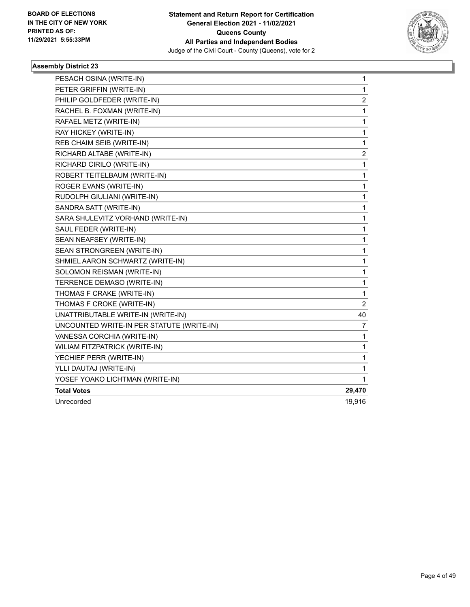

| PESACH OSINA (WRITE-IN)                   | 1      |
|-------------------------------------------|--------|
| PETER GRIFFIN (WRITE-IN)                  | 1      |
| PHILIP GOLDFEDER (WRITE-IN)               | 2      |
| RACHEL B. FOXMAN (WRITE-IN)               | 1      |
| RAFAEL METZ (WRITE-IN)                    | 1      |
| RAY HICKEY (WRITE-IN)                     | 1      |
| REB CHAIM SEIB (WRITE-IN)                 | 1      |
| RICHARD ALTABE (WRITE-IN)                 | 2      |
| RICHARD CIRILO (WRITE-IN)                 | 1      |
| ROBERT TEITELBAUM (WRITE-IN)              | 1      |
| ROGER EVANS (WRITE-IN)                    | 1      |
| RUDOLPH GIULIANI (WRITE-IN)               | 1      |
| SANDRA SATT (WRITE-IN)                    | 1      |
| SARA SHULEVITZ VORHAND (WRITE-IN)         | 1      |
| SAUL FEDER (WRITE-IN)                     | 1      |
| SEAN NEAFSEY (WRITE-IN)                   | 1      |
| SEAN STRONGREEN (WRITE-IN)                | 1      |
| SHMIEL AARON SCHWARTZ (WRITE-IN)          | 1      |
| SOLOMON REISMAN (WRITE-IN)                | 1      |
| TERRENCE DEMASO (WRITE-IN)                | 1      |
| THOMAS F CRAKE (WRITE-IN)                 | 1      |
| THOMAS F CROKE (WRITE-IN)                 | 2      |
| UNATTRIBUTABLE WRITE-IN (WRITE-IN)        | 40     |
| UNCOUNTED WRITE-IN PER STATUTE (WRITE-IN) | 7      |
| VANESSA CORCHIA (WRITE-IN)                | 1      |
| WILIAM FITZPATRICK (WRITE-IN)             | 1      |
| YECHIEF PERR (WRITE-IN)                   | 1      |
| YLLI DAUTAJ (WRITE-IN)                    | 1      |
| YOSEF YOAKO LICHTMAN (WRITE-IN)           | 1      |
| <b>Total Votes</b>                        | 29,470 |
| Unrecorded                                | 19,916 |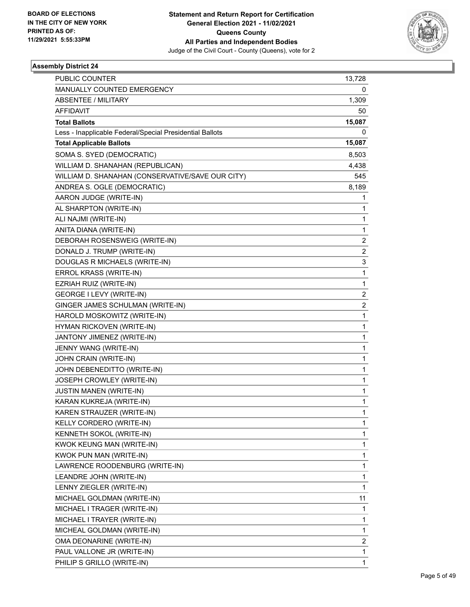

| <b>PUBLIC COUNTER</b>                                    | 13,728                  |
|----------------------------------------------------------|-------------------------|
| MANUALLY COUNTED EMERGENCY                               | 0                       |
| ABSENTEE / MILITARY                                      | 1,309                   |
| AFFIDAVIT                                                | 50                      |
| <b>Total Ballots</b>                                     | 15,087                  |
| Less - Inapplicable Federal/Special Presidential Ballots | 0                       |
| <b>Total Applicable Ballots</b>                          | 15,087                  |
| SOMA S. SYED (DEMOCRATIC)                                | 8,503                   |
| WILLIAM D. SHANAHAN (REPUBLICAN)                         | 4,438                   |
| WILLIAM D. SHANAHAN (CONSERVATIVE/SAVE OUR CITY)         | 545                     |
| ANDREA S. OGLE (DEMOCRATIC)                              | 8,189                   |
| AARON JUDGE (WRITE-IN)                                   | 1                       |
| AL SHARPTON (WRITE-IN)                                   | 1                       |
| ALI NAJMI (WRITE-IN)                                     | 1                       |
| ANITA DIANA (WRITE-IN)                                   | 1                       |
| DEBORAH ROSENSWEIG (WRITE-IN)                            | 2                       |
| DONALD J. TRUMP (WRITE-IN)                               | 2                       |
| DOUGLAS R MICHAELS (WRITE-IN)                            | 3                       |
| ERROL KRASS (WRITE-IN)                                   | 1                       |
| EZRIAH RUIZ (WRITE-IN)                                   | 1                       |
| GEORGE I LEVY (WRITE-IN)                                 | $\overline{\mathbf{c}}$ |
| GINGER JAMES SCHULMAN (WRITE-IN)                         | $\overline{2}$          |
| HAROLD MOSKOWITZ (WRITE-IN)                              | 1                       |
| HYMAN RICKOVEN (WRITE-IN)                                | 1                       |
| JANTONY JIMENEZ (WRITE-IN)                               | 1                       |
| JENNY WANG (WRITE-IN)                                    | 1                       |
| JOHN CRAIN (WRITE-IN)                                    | 1                       |
| JOHN DEBENEDITTO (WRITE-IN)                              | 1                       |
| JOSEPH CROWLEY (WRITE-IN)                                | 1                       |
| <b>JUSTIN MANEN (WRITE-IN)</b>                           | 1                       |
| KARAN KUKREJA (WRITE-IN)                                 | 1                       |
| KAREN STRAUZER (WRITE-IN)                                | 1                       |
| KELLY CORDERO (WRITE-IN)                                 | 1                       |
| KENNETH SOKOL (WRITE-IN)                                 | 1                       |
| KWOK KEUNG MAN (WRITE-IN)                                | 1                       |
| KWOK PUN MAN (WRITE-IN)                                  | 1                       |
| LAWRENCE ROODENBURG (WRITE-IN)                           | 1                       |
| LEANDRE JOHN (WRITE-IN)                                  | 1                       |
| LENNY ZIEGLER (WRITE-IN)                                 | 1                       |
| MICHAEL GOLDMAN (WRITE-IN)                               | 11                      |
| MICHAEL I TRAGER (WRITE-IN)                              | 1                       |
| MICHAEL I TRAYER (WRITE-IN)                              | 1                       |
| MICHEAL GOLDMAN (WRITE-IN)                               | 1                       |
| OMA DEONARINE (WRITE-IN)                                 | 2                       |
| PAUL VALLONE JR (WRITE-IN)                               | 1                       |
| PHILIP S GRILLO (WRITE-IN)                               | 1                       |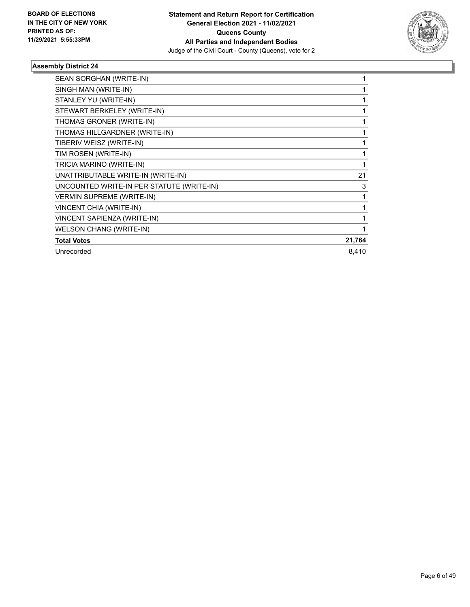

| SEAN SORGHAN (WRITE-IN)                   |        |
|-------------------------------------------|--------|
| SINGH MAN (WRITE-IN)                      |        |
| STANLEY YU (WRITE-IN)                     |        |
| STEWART BERKELEY (WRITE-IN)               |        |
| THOMAS GRONER (WRITE-IN)                  |        |
| THOMAS HILLGARDNER (WRITE-IN)             |        |
| TIBERIV WEISZ (WRITE-IN)                  |        |
| TIM ROSEN (WRITE-IN)                      |        |
| TRICIA MARINO (WRITE-IN)                  | 1      |
| UNATTRIBUTABLE WRITE-IN (WRITE-IN)        | 21     |
| UNCOUNTED WRITE-IN PER STATUTE (WRITE-IN) | 3      |
| <b>VERMIN SUPREME (WRITE-IN)</b>          | 1      |
| VINCENT CHIA (WRITE-IN)                   |        |
| VINCENT SAPIENZA (WRITE-IN)               |        |
| <b>WELSON CHANG (WRITE-IN)</b>            |        |
| <b>Total Votes</b>                        | 21,764 |
| Unrecorded                                | 8,410  |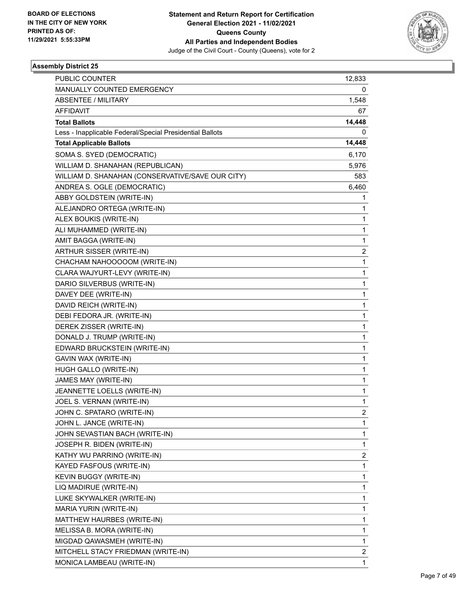

| <b>PUBLIC COUNTER</b>                                    | 12,833 |
|----------------------------------------------------------|--------|
| MANUALLY COUNTED EMERGENCY                               | 0      |
| <b>ABSENTEE / MILITARY</b>                               | 1,548  |
| AFFIDAVIT                                                | 67     |
| <b>Total Ballots</b>                                     | 14,448 |
| Less - Inapplicable Federal/Special Presidential Ballots | 0      |
| <b>Total Applicable Ballots</b>                          | 14,448 |
| SOMA S. SYED (DEMOCRATIC)                                | 6,170  |
| WILLIAM D. SHANAHAN (REPUBLICAN)                         | 5,976  |
| WILLIAM D. SHANAHAN (CONSERVATIVE/SAVE OUR CITY)         | 583    |
| ANDREA S. OGLE (DEMOCRATIC)                              | 6,460  |
| ABBY GOLDSTEIN (WRITE-IN)                                | 1      |
| ALEJANDRO ORTEGA (WRITE-IN)                              | 1      |
| ALEX BOUKIS (WRITE-IN)                                   | 1      |
| ALI MUHAMMED (WRITE-IN)                                  | 1      |
| AMIT BAGGA (WRITE-IN)                                    | 1      |
| ARTHUR SISSER (WRITE-IN)                                 | 2      |
| CHACHAM NAHOOOOOM (WRITE-IN)                             | 1      |
| CLARA WAJYURT-LEVY (WRITE-IN)                            | 1      |
| DARIO SILVERBUS (WRITE-IN)                               | 1      |
| DAVEY DEE (WRITE-IN)                                     | 1      |
| DAVID REICH (WRITE-IN)                                   | 1      |
| DEBI FEDORA JR. (WRITE-IN)                               | 1      |
| DEREK ZISSER (WRITE-IN)                                  | 1      |
| DONALD J. TRUMP (WRITE-IN)                               | 1      |
| EDWARD BRUCKSTEIN (WRITE-IN)                             | 1      |
| GAVIN WAX (WRITE-IN)                                     | 1      |
| HUGH GALLO (WRITE-IN)                                    | 1      |
| JAMES MAY (WRITE-IN)                                     | 1      |
| JEANNETTE LOELLS (WRITE-IN)                              | 1      |
| JOEL S. VERNAN (WRITE-IN)                                | 1      |
| JOHN C. SPATARO (WRITE-IN)                               | 2      |
| JOHN L. JANCE (WRITE-IN)                                 | 1      |
| JOHN SEVASTIAN BACH (WRITE-IN)                           | 1      |
| JOSEPH R. BIDEN (WRITE-IN)                               | 1      |
| KATHY WU PARRINO (WRITE-IN)                              | 2      |
| KAYED FASFOUS (WRITE-IN)                                 | 1      |
| KEVIN BUGGY (WRITE-IN)                                   | 1      |
| LIQ MADIRUE (WRITE-IN)                                   | 1      |
| LUKE SKYWALKER (WRITE-IN)                                | 1      |
| MARIA YURIN (WRITE-IN)                                   | 1      |
| MATTHEW HAURBES (WRITE-IN)                               | 1      |
| MELISSA B. MORA (WRITE-IN)                               | 1      |
| MIGDAD QAWASMEH (WRITE-IN)                               | 1      |
| MITCHELL STACY FRIEDMAN (WRITE-IN)                       | 2      |
| MONICA LAMBEAU (WRITE-IN)                                | 1      |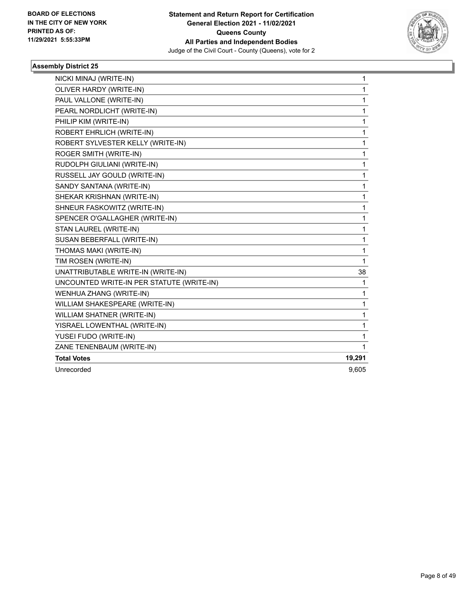

| NICKI MINAJ (WRITE-IN)                    | 1      |
|-------------------------------------------|--------|
| OLIVER HARDY (WRITE-IN)                   | 1      |
| PAUL VALLONE (WRITE-IN)                   | 1      |
| PEARL NORDLICHT (WRITE-IN)                | 1      |
| PHILIP KIM (WRITE-IN)                     | 1      |
| ROBERT EHRLICH (WRITE-IN)                 | 1      |
| ROBERT SYLVESTER KELLY (WRITE-IN)         | 1      |
| ROGER SMITH (WRITE-IN)                    | 1      |
| RUDOLPH GIULIANI (WRITE-IN)               | 1      |
| RUSSELL JAY GOULD (WRITE-IN)              | 1      |
| SANDY SANTANA (WRITE-IN)                  | 1      |
| SHEKAR KRISHNAN (WRITE-IN)                | 1      |
| SHNEUR FASKOWITZ (WRITE-IN)               | 1      |
| SPENCER O'GALLAGHER (WRITE-IN)            | 1      |
| STAN LAUREL (WRITE-IN)                    | 1      |
| SUSAN BEBERFALL (WRITE-IN)                | 1      |
| THOMAS MAKI (WRITE-IN)                    | 1      |
| TIM ROSEN (WRITE-IN)                      | 1      |
| UNATTRIBUTABLE WRITE-IN (WRITE-IN)        | 38     |
| UNCOUNTED WRITE-IN PER STATUTE (WRITE-IN) | 1      |
| WENHUA ZHANG (WRITE-IN)                   | 1      |
| WILLIAM SHAKESPEARE (WRITE-IN)            | 1      |
| WILLIAM SHATNER (WRITE-IN)                | 1      |
| YISRAEL LOWENTHAL (WRITE-IN)              | 1      |
| YUSEI FUDO (WRITE-IN)                     | 1      |
| ZANE TENENBAUM (WRITE-IN)                 | 1      |
| <b>Total Votes</b>                        | 19,291 |
| Unrecorded                                | 9,605  |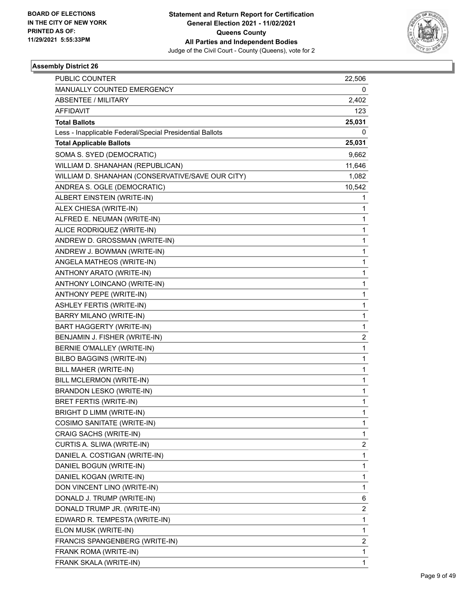

| MANUALLY COUNTED EMERGENCY<br>0<br>ABSENTEE / MILITARY<br>2,402<br>AFFIDAVIT<br>123<br><b>Total Ballots</b><br>25,031<br>Less - Inapplicable Federal/Special Presidential Ballots<br>0<br><b>Total Applicable Ballots</b><br>25,031<br>SOMA S. SYED (DEMOCRATIC)<br>9,662<br>WILLIAM D. SHANAHAN (REPUBLICAN)<br>11,646<br>WILLIAM D. SHANAHAN (CONSERVATIVE/SAVE OUR CITY)<br>1,082<br>ANDREA S. OGLE (DEMOCRATIC)<br>10,542<br>ALBERT EINSTEIN (WRITE-IN)<br>1<br>ALEX CHIESA (WRITE-IN)<br>1<br>ALFRED E. NEUMAN (WRITE-IN)<br>1<br>1<br>ALICE RODRIQUEZ (WRITE-IN)<br>ANDREW D. GROSSMAN (WRITE-IN)<br>1<br>ANDREW J. BOWMAN (WRITE-IN)<br>1<br>1<br>ANGELA MATHEOS (WRITE-IN)<br>ANTHONY ARATO (WRITE-IN)<br>1<br>ANTHONY LOINCANO (WRITE-IN)<br>1<br>1<br>ANTHONY PEPE (WRITE-IN)<br><b>ASHLEY FERTIS (WRITE-IN)</b><br>1<br>BARRY MILANO (WRITE-IN)<br>1<br>1<br>BART HAGGERTY (WRITE-IN)<br>BENJAMIN J. FISHER (WRITE-IN)<br>$\overline{2}$<br>BERNIE O'MALLEY (WRITE-IN)<br>1<br>1<br>BILBO BAGGINS (WRITE-IN)<br>BILL MAHER (WRITE-IN)<br>1<br>BILL MCLERMON (WRITE-IN)<br>1<br>1<br><b>BRANDON LESKO (WRITE-IN)</b><br>BRET FERTIS (WRITE-IN)<br>1<br>1<br>BRIGHT D LIMM (WRITE-IN)<br>COSIMO SANITATE (WRITE-IN)<br>1<br>CRAIG SACHS (WRITE-IN)<br>1<br>2<br>CURTIS A. SLIWA (WRITE-IN)<br>1<br>DANIEL A. COSTIGAN (WRITE-IN)<br>DANIEL BOGUN (WRITE-IN)<br>1<br>DANIEL KOGAN (WRITE-IN)<br>1<br>DON VINCENT LINO (WRITE-IN)<br>1<br>DONALD J. TRUMP (WRITE-IN)<br>6<br>2<br>DONALD TRUMP JR. (WRITE-IN)<br>1<br>EDWARD R. TEMPESTA (WRITE-IN) | <b>PUBLIC COUNTER</b> | 22,506 |
|------------------------------------------------------------------------------------------------------------------------------------------------------------------------------------------------------------------------------------------------------------------------------------------------------------------------------------------------------------------------------------------------------------------------------------------------------------------------------------------------------------------------------------------------------------------------------------------------------------------------------------------------------------------------------------------------------------------------------------------------------------------------------------------------------------------------------------------------------------------------------------------------------------------------------------------------------------------------------------------------------------------------------------------------------------------------------------------------------------------------------------------------------------------------------------------------------------------------------------------------------------------------------------------------------------------------------------------------------------------------------------------------------------------------------------------------------------------------------------------------------------------------------------------------------------|-----------------------|--------|
|                                                                                                                                                                                                                                                                                                                                                                                                                                                                                                                                                                                                                                                                                                                                                                                                                                                                                                                                                                                                                                                                                                                                                                                                                                                                                                                                                                                                                                                                                                                                                            |                       |        |
|                                                                                                                                                                                                                                                                                                                                                                                                                                                                                                                                                                                                                                                                                                                                                                                                                                                                                                                                                                                                                                                                                                                                                                                                                                                                                                                                                                                                                                                                                                                                                            |                       |        |
|                                                                                                                                                                                                                                                                                                                                                                                                                                                                                                                                                                                                                                                                                                                                                                                                                                                                                                                                                                                                                                                                                                                                                                                                                                                                                                                                                                                                                                                                                                                                                            |                       |        |
|                                                                                                                                                                                                                                                                                                                                                                                                                                                                                                                                                                                                                                                                                                                                                                                                                                                                                                                                                                                                                                                                                                                                                                                                                                                                                                                                                                                                                                                                                                                                                            |                       |        |
|                                                                                                                                                                                                                                                                                                                                                                                                                                                                                                                                                                                                                                                                                                                                                                                                                                                                                                                                                                                                                                                                                                                                                                                                                                                                                                                                                                                                                                                                                                                                                            |                       |        |
|                                                                                                                                                                                                                                                                                                                                                                                                                                                                                                                                                                                                                                                                                                                                                                                                                                                                                                                                                                                                                                                                                                                                                                                                                                                                                                                                                                                                                                                                                                                                                            |                       |        |
|                                                                                                                                                                                                                                                                                                                                                                                                                                                                                                                                                                                                                                                                                                                                                                                                                                                                                                                                                                                                                                                                                                                                                                                                                                                                                                                                                                                                                                                                                                                                                            |                       |        |
|                                                                                                                                                                                                                                                                                                                                                                                                                                                                                                                                                                                                                                                                                                                                                                                                                                                                                                                                                                                                                                                                                                                                                                                                                                                                                                                                                                                                                                                                                                                                                            |                       |        |
|                                                                                                                                                                                                                                                                                                                                                                                                                                                                                                                                                                                                                                                                                                                                                                                                                                                                                                                                                                                                                                                                                                                                                                                                                                                                                                                                                                                                                                                                                                                                                            |                       |        |
|                                                                                                                                                                                                                                                                                                                                                                                                                                                                                                                                                                                                                                                                                                                                                                                                                                                                                                                                                                                                                                                                                                                                                                                                                                                                                                                                                                                                                                                                                                                                                            |                       |        |
|                                                                                                                                                                                                                                                                                                                                                                                                                                                                                                                                                                                                                                                                                                                                                                                                                                                                                                                                                                                                                                                                                                                                                                                                                                                                                                                                                                                                                                                                                                                                                            |                       |        |
|                                                                                                                                                                                                                                                                                                                                                                                                                                                                                                                                                                                                                                                                                                                                                                                                                                                                                                                                                                                                                                                                                                                                                                                                                                                                                                                                                                                                                                                                                                                                                            |                       |        |
|                                                                                                                                                                                                                                                                                                                                                                                                                                                                                                                                                                                                                                                                                                                                                                                                                                                                                                                                                                                                                                                                                                                                                                                                                                                                                                                                                                                                                                                                                                                                                            |                       |        |
|                                                                                                                                                                                                                                                                                                                                                                                                                                                                                                                                                                                                                                                                                                                                                                                                                                                                                                                                                                                                                                                                                                                                                                                                                                                                                                                                                                                                                                                                                                                                                            |                       |        |
|                                                                                                                                                                                                                                                                                                                                                                                                                                                                                                                                                                                                                                                                                                                                                                                                                                                                                                                                                                                                                                                                                                                                                                                                                                                                                                                                                                                                                                                                                                                                                            |                       |        |
|                                                                                                                                                                                                                                                                                                                                                                                                                                                                                                                                                                                                                                                                                                                                                                                                                                                                                                                                                                                                                                                                                                                                                                                                                                                                                                                                                                                                                                                                                                                                                            |                       |        |
|                                                                                                                                                                                                                                                                                                                                                                                                                                                                                                                                                                                                                                                                                                                                                                                                                                                                                                                                                                                                                                                                                                                                                                                                                                                                                                                                                                                                                                                                                                                                                            |                       |        |
|                                                                                                                                                                                                                                                                                                                                                                                                                                                                                                                                                                                                                                                                                                                                                                                                                                                                                                                                                                                                                                                                                                                                                                                                                                                                                                                                                                                                                                                                                                                                                            |                       |        |
|                                                                                                                                                                                                                                                                                                                                                                                                                                                                                                                                                                                                                                                                                                                                                                                                                                                                                                                                                                                                                                                                                                                                                                                                                                                                                                                                                                                                                                                                                                                                                            |                       |        |
|                                                                                                                                                                                                                                                                                                                                                                                                                                                                                                                                                                                                                                                                                                                                                                                                                                                                                                                                                                                                                                                                                                                                                                                                                                                                                                                                                                                                                                                                                                                                                            |                       |        |
|                                                                                                                                                                                                                                                                                                                                                                                                                                                                                                                                                                                                                                                                                                                                                                                                                                                                                                                                                                                                                                                                                                                                                                                                                                                                                                                                                                                                                                                                                                                                                            |                       |        |
|                                                                                                                                                                                                                                                                                                                                                                                                                                                                                                                                                                                                                                                                                                                                                                                                                                                                                                                                                                                                                                                                                                                                                                                                                                                                                                                                                                                                                                                                                                                                                            |                       |        |
|                                                                                                                                                                                                                                                                                                                                                                                                                                                                                                                                                                                                                                                                                                                                                                                                                                                                                                                                                                                                                                                                                                                                                                                                                                                                                                                                                                                                                                                                                                                                                            |                       |        |
|                                                                                                                                                                                                                                                                                                                                                                                                                                                                                                                                                                                                                                                                                                                                                                                                                                                                                                                                                                                                                                                                                                                                                                                                                                                                                                                                                                                                                                                                                                                                                            |                       |        |
|                                                                                                                                                                                                                                                                                                                                                                                                                                                                                                                                                                                                                                                                                                                                                                                                                                                                                                                                                                                                                                                                                                                                                                                                                                                                                                                                                                                                                                                                                                                                                            |                       |        |
|                                                                                                                                                                                                                                                                                                                                                                                                                                                                                                                                                                                                                                                                                                                                                                                                                                                                                                                                                                                                                                                                                                                                                                                                                                                                                                                                                                                                                                                                                                                                                            |                       |        |
|                                                                                                                                                                                                                                                                                                                                                                                                                                                                                                                                                                                                                                                                                                                                                                                                                                                                                                                                                                                                                                                                                                                                                                                                                                                                                                                                                                                                                                                                                                                                                            |                       |        |
|                                                                                                                                                                                                                                                                                                                                                                                                                                                                                                                                                                                                                                                                                                                                                                                                                                                                                                                                                                                                                                                                                                                                                                                                                                                                                                                                                                                                                                                                                                                                                            |                       |        |
|                                                                                                                                                                                                                                                                                                                                                                                                                                                                                                                                                                                                                                                                                                                                                                                                                                                                                                                                                                                                                                                                                                                                                                                                                                                                                                                                                                                                                                                                                                                                                            |                       |        |
|                                                                                                                                                                                                                                                                                                                                                                                                                                                                                                                                                                                                                                                                                                                                                                                                                                                                                                                                                                                                                                                                                                                                                                                                                                                                                                                                                                                                                                                                                                                                                            |                       |        |
|                                                                                                                                                                                                                                                                                                                                                                                                                                                                                                                                                                                                                                                                                                                                                                                                                                                                                                                                                                                                                                                                                                                                                                                                                                                                                                                                                                                                                                                                                                                                                            |                       |        |
|                                                                                                                                                                                                                                                                                                                                                                                                                                                                                                                                                                                                                                                                                                                                                                                                                                                                                                                                                                                                                                                                                                                                                                                                                                                                                                                                                                                                                                                                                                                                                            |                       |        |
|                                                                                                                                                                                                                                                                                                                                                                                                                                                                                                                                                                                                                                                                                                                                                                                                                                                                                                                                                                                                                                                                                                                                                                                                                                                                                                                                                                                                                                                                                                                                                            |                       |        |
|                                                                                                                                                                                                                                                                                                                                                                                                                                                                                                                                                                                                                                                                                                                                                                                                                                                                                                                                                                                                                                                                                                                                                                                                                                                                                                                                                                                                                                                                                                                                                            |                       |        |
|                                                                                                                                                                                                                                                                                                                                                                                                                                                                                                                                                                                                                                                                                                                                                                                                                                                                                                                                                                                                                                                                                                                                                                                                                                                                                                                                                                                                                                                                                                                                                            |                       |        |
|                                                                                                                                                                                                                                                                                                                                                                                                                                                                                                                                                                                                                                                                                                                                                                                                                                                                                                                                                                                                                                                                                                                                                                                                                                                                                                                                                                                                                                                                                                                                                            |                       |        |
|                                                                                                                                                                                                                                                                                                                                                                                                                                                                                                                                                                                                                                                                                                                                                                                                                                                                                                                                                                                                                                                                                                                                                                                                                                                                                                                                                                                                                                                                                                                                                            |                       |        |
|                                                                                                                                                                                                                                                                                                                                                                                                                                                                                                                                                                                                                                                                                                                                                                                                                                                                                                                                                                                                                                                                                                                                                                                                                                                                                                                                                                                                                                                                                                                                                            |                       |        |
|                                                                                                                                                                                                                                                                                                                                                                                                                                                                                                                                                                                                                                                                                                                                                                                                                                                                                                                                                                                                                                                                                                                                                                                                                                                                                                                                                                                                                                                                                                                                                            |                       |        |
|                                                                                                                                                                                                                                                                                                                                                                                                                                                                                                                                                                                                                                                                                                                                                                                                                                                                                                                                                                                                                                                                                                                                                                                                                                                                                                                                                                                                                                                                                                                                                            |                       |        |
|                                                                                                                                                                                                                                                                                                                                                                                                                                                                                                                                                                                                                                                                                                                                                                                                                                                                                                                                                                                                                                                                                                                                                                                                                                                                                                                                                                                                                                                                                                                                                            |                       |        |
| ELON MUSK (WRITE-IN)<br>1                                                                                                                                                                                                                                                                                                                                                                                                                                                                                                                                                                                                                                                                                                                                                                                                                                                                                                                                                                                                                                                                                                                                                                                                                                                                                                                                                                                                                                                                                                                                  |                       |        |
| 2<br>FRANCIS SPANGENBERG (WRITE-IN)                                                                                                                                                                                                                                                                                                                                                                                                                                                                                                                                                                                                                                                                                                                                                                                                                                                                                                                                                                                                                                                                                                                                                                                                                                                                                                                                                                                                                                                                                                                        |                       |        |
| 1<br>FRANK ROMA (WRITE-IN)                                                                                                                                                                                                                                                                                                                                                                                                                                                                                                                                                                                                                                                                                                                                                                                                                                                                                                                                                                                                                                                                                                                                                                                                                                                                                                                                                                                                                                                                                                                                 |                       |        |
| FRANK SKALA (WRITE-IN)<br>1                                                                                                                                                                                                                                                                                                                                                                                                                                                                                                                                                                                                                                                                                                                                                                                                                                                                                                                                                                                                                                                                                                                                                                                                                                                                                                                                                                                                                                                                                                                                |                       |        |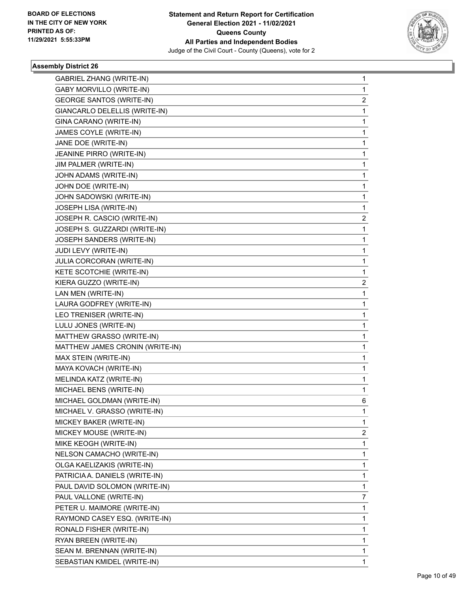

| <b>GABRIEL ZHANG (WRITE-IN)</b> | 1 |
|---------------------------------|---|
| <b>GABY MORVILLO (WRITE-IN)</b> | 1 |
| <b>GEORGE SANTOS (WRITE-IN)</b> | 2 |
| GIANCARLO DELELLIS (WRITE-IN)   | 1 |
| GINA CARANO (WRITE-IN)          | 1 |
| JAMES COYLE (WRITE-IN)          | 1 |
| JANE DOE (WRITE-IN)             | 1 |
| JEANINE PIRRO (WRITE-IN)        | 1 |
| JIM PALMER (WRITE-IN)           | 1 |
| JOHN ADAMS (WRITE-IN)           | 1 |
| JOHN DOE (WRITE-IN)             | 1 |
| JOHN SADOWSKI (WRITE-IN)        | 1 |
| JOSEPH LISA (WRITE-IN)          | 1 |
| JOSEPH R. CASCIO (WRITE-IN)     | 2 |
| JOSEPH S. GUZZARDI (WRITE-IN)   | 1 |
| JOSEPH SANDERS (WRITE-IN)       | 1 |
| JUDI LEVY (WRITE-IN)            | 1 |
| JULIA CORCORAN (WRITE-IN)       | 1 |
| KETE SCOTCHIE (WRITE-IN)        | 1 |
| KIERA GUZZO (WRITE-IN)          | 2 |
| LAN MEN (WRITE-IN)              | 1 |
| LAURA GODFREY (WRITE-IN)        | 1 |
| LEO TRENISER (WRITE-IN)         | 1 |
| LULU JONES (WRITE-IN)           | 1 |
| MATTHEW GRASSO (WRITE-IN)       | 1 |
| MATTHEW JAMES CRONIN (WRITE-IN) | 1 |
| MAX STEIN (WRITE-IN)            | 1 |
| MAYA KOVACH (WRITE-IN)          | 1 |
| MELINDA KATZ (WRITE-IN)         | 1 |
| MICHAEL BENS (WRITE-IN)         | 1 |
| MICHAEL GOLDMAN (WRITE-IN)      | 6 |
| MICHAEL V. GRASSO (WRITE-IN)    | 1 |
| MICKEY BAKER (WRITE-IN)         | 1 |
| MICKEY MOUSE (WRITE-IN)         | 2 |
| MIKE KEOGH (WRITE-IN)           | 1 |
| NELSON CAMACHO (WRITE-IN)       | 1 |
| OLGA KAELIZAKIS (WRITE-IN)      | 1 |
| PATRICIA A. DANIELS (WRITE-IN)  | 1 |
| PAUL DAVID SOLOMON (WRITE-IN)   | 1 |
| PAUL VALLONE (WRITE-IN)         | 7 |
| PETER U. MAIMORE (WRITE-IN)     | 1 |
| RAYMOND CASEY ESQ. (WRITE-IN)   | 1 |
| RONALD FISHER (WRITE-IN)        | 1 |
| RYAN BREEN (WRITE-IN)           | 1 |
| SEAN M. BRENNAN (WRITE-IN)      | 1 |
| SEBASTIAN KMIDEL (WRITE-IN)     | 1 |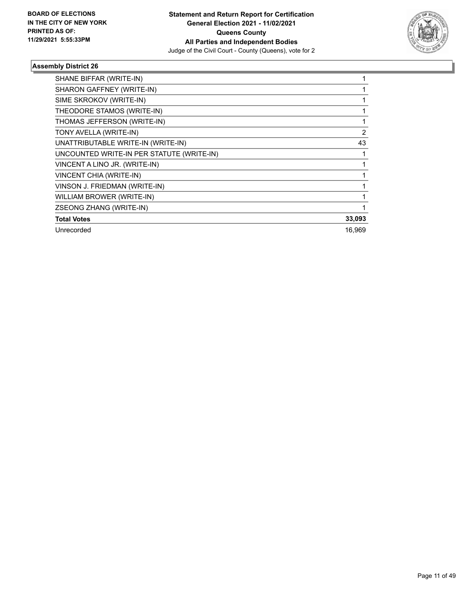

| SHANE BIFFAR (WRITE-IN)                   |                |
|-------------------------------------------|----------------|
| SHARON GAFFNEY (WRITE-IN)                 |                |
| SIME SKROKOV (WRITE-IN)                   |                |
| THEODORE STAMOS (WRITE-IN)                |                |
| THOMAS JEFFERSON (WRITE-IN)               |                |
| TONY AVELLA (WRITE-IN)                    | $\overline{2}$ |
| UNATTRIBUTABLE WRITE-IN (WRITE-IN)        | 43             |
| UNCOUNTED WRITE-IN PER STATUTE (WRITE-IN) |                |
| VINCENT A LINO JR. (WRITE-IN)             |                |
| VINCENT CHIA (WRITE-IN)                   |                |
| VINSON J. FRIEDMAN (WRITE-IN)             |                |
| WILLIAM BROWER (WRITE-IN)                 |                |
| ZSEONG ZHANG (WRITE-IN)                   |                |
| <b>Total Votes</b>                        | 33,093         |
| Unrecorded                                | 16,969         |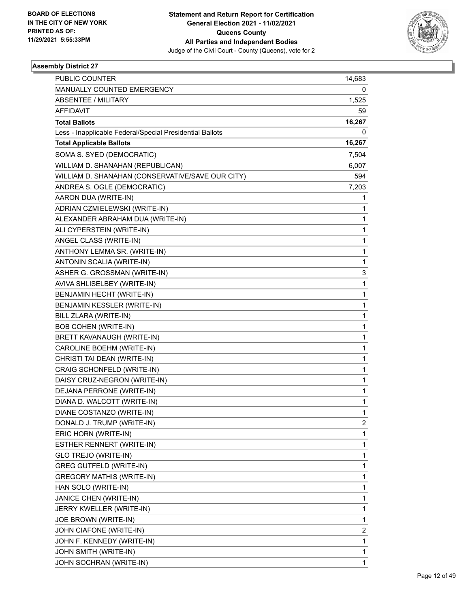

| <b>PUBLIC COUNTER</b>                                    | 14,683 |
|----------------------------------------------------------|--------|
| MANUALLY COUNTED EMERGENCY                               | 0      |
| ABSENTEE / MILITARY                                      | 1,525  |
| <b>AFFIDAVIT</b>                                         | 59     |
| <b>Total Ballots</b>                                     | 16,267 |
| Less - Inapplicable Federal/Special Presidential Ballots | 0      |
| <b>Total Applicable Ballots</b>                          | 16,267 |
| SOMA S. SYED (DEMOCRATIC)                                | 7,504  |
| WILLIAM D. SHANAHAN (REPUBLICAN)                         | 6,007  |
| WILLIAM D. SHANAHAN (CONSERVATIVE/SAVE OUR CITY)         | 594    |
| ANDREA S. OGLE (DEMOCRATIC)                              | 7,203  |
| AARON DUA (WRITE-IN)                                     | 1      |
| ADRIAN CZMIELEWSKI (WRITE-IN)                            | 1      |
| ALEXANDER ABRAHAM DUA (WRITE-IN)                         | 1      |
| ALI CYPERSTEIN (WRITE-IN)                                | 1      |
| ANGEL CLASS (WRITE-IN)                                   | 1      |
| ANTHONY LEMMA SR. (WRITE-IN)                             | 1      |
| ANTONIN SCALIA (WRITE-IN)                                | 1      |
| ASHER G. GROSSMAN (WRITE-IN)                             | 3      |
| AVIVA SHLISELBEY (WRITE-IN)                              | 1      |
| BENJAMIN HECHT (WRITE-IN)                                | 1      |
| BENJAMIN KESSLER (WRITE-IN)                              | 1      |
| BILL ZLARA (WRITE-IN)                                    | 1      |
| <b>BOB COHEN (WRITE-IN)</b>                              | 1      |
| BRETT KAVANAUGH (WRITE-IN)                               | 1      |
| CAROLINE BOEHM (WRITE-IN)                                | 1      |
| CHRISTI TAI DEAN (WRITE-IN)                              | 1      |
| CRAIG SCHONFELD (WRITE-IN)                               | 1      |
| DAISY CRUZ-NEGRON (WRITE-IN)                             | 1      |
| DEJANA PERRONE (WRITE-IN)                                | 1      |
| DIANA D. WALCOTT (WRITE-IN)                              | 1      |
| DIANE COSTANZO (WRITE-IN)                                | 1      |
| DONALD J. TRUMP (WRITE-IN)                               | 2      |
| ERIC HORN (WRITE-IN)                                     | 1      |
| ESTHER RENNERT (WRITE-IN)                                | 1      |
| GLO TREJO (WRITE-IN)                                     | 1      |
| <b>GREG GUTFELD (WRITE-IN)</b>                           | 1      |
| GREGORY MATHIS (WRITE-IN)                                | 1      |
| HAN SOLO (WRITE-IN)                                      | 1      |
| JANICE CHEN (WRITE-IN)                                   | 1      |
| JERRY KWELLER (WRITE-IN)                                 | 1      |
| JOE BROWN (WRITE-IN)                                     | 1      |
| JOHN CIAFONE (WRITE-IN)                                  | 2      |
| JOHN F. KENNEDY (WRITE-IN)                               | 1      |
| JOHN SMITH (WRITE-IN)                                    | 1      |
| JOHN SOCHRAN (WRITE-IN)                                  | 1      |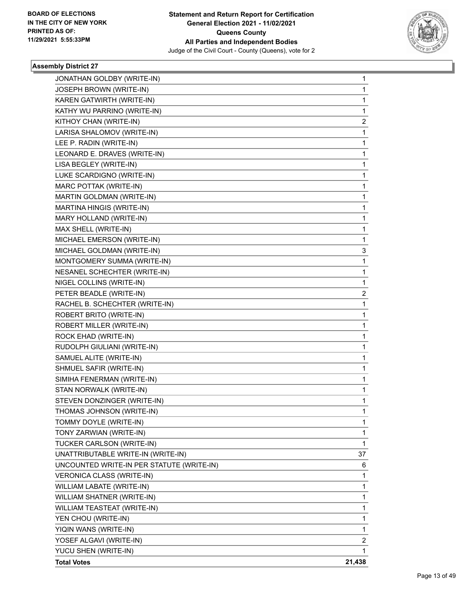

| JONATHAN GOLDBY (WRITE-IN)                | 1            |
|-------------------------------------------|--------------|
| JOSEPH BROWN (WRITE-IN)                   | $\mathbf{1}$ |
| KAREN GATWIRTH (WRITE-IN)                 | $\mathbf 1$  |
| KATHY WU PARRINO (WRITE-IN)               | 1            |
| KITHOY CHAN (WRITE-IN)                    | 2            |
| LARISA SHALOMOV (WRITE-IN)                | 1            |
| LEE P. RADIN (WRITE-IN)                   | 1            |
| LEONARD E. DRAVES (WRITE-IN)              | $\mathbf 1$  |
| LISA BEGLEY (WRITE-IN)                    | $\mathbf 1$  |
| LUKE SCARDIGNO (WRITE-IN)                 | 1            |
| MARC POTTAK (WRITE-IN)                    | 1            |
| MARTIN GOLDMAN (WRITE-IN)                 | 1            |
| MARTINA HINGIS (WRITE-IN)                 | 1            |
| MARY HOLLAND (WRITE-IN)                   | 1            |
| MAX SHELL (WRITE-IN)                      | $\mathbf 1$  |
| MICHAEL EMERSON (WRITE-IN)                | 1            |
| MICHAEL GOLDMAN (WRITE-IN)                | 3            |
| MONTGOMERY SUMMA (WRITE-IN)               | 1            |
| NESANEL SCHECHTER (WRITE-IN)              | 1            |
| NIGEL COLLINS (WRITE-IN)                  | $\mathbf{1}$ |
| PETER BEADLE (WRITE-IN)                   | 2            |
| RACHEL B. SCHECHTER (WRITE-IN)            | 1            |
| ROBERT BRITO (WRITE-IN)                   | 1            |
| ROBERT MILLER (WRITE-IN)                  | 1            |
| ROCK EHAD (WRITE-IN)                      | 1            |
| RUDOLPH GIULIANI (WRITE-IN)               | 1            |
| SAMUEL ALITE (WRITE-IN)                   | $\mathbf 1$  |
| SHMUEL SAFIR (WRITE-IN)                   | 1            |
| SIMIHA FENERMAN (WRITE-IN)                | 1            |
| STAN NORWALK (WRITE-IN)                   | 1            |
| STEVEN DONZINGER (WRITE-IN)               | 1            |
| THOMAS JOHNSON (WRITE-IN)                 | $\mathbf{1}$ |
| TOMMY DOYLE (WRITE-IN)                    | 1            |
| TONY ZARWIAN (WRITE-IN)                   | 1            |
| TUCKER CARLSON (WRITE-IN)                 | $\mathbf{1}$ |
| UNATTRIBUTABLE WRITE-IN (WRITE-IN)        | 37           |
| UNCOUNTED WRITE-IN PER STATUTE (WRITE-IN) | 6            |
| VERONICA CLASS (WRITE-IN)                 | 1            |
| WILLIAM LABATE (WRITE-IN)                 | 1            |
| WILLIAM SHATNER (WRITE-IN)                | 1            |
| WILLIAM TEASTEAT (WRITE-IN)               | 1            |
| YEN CHOU (WRITE-IN)                       | 1            |
| YIQIN WANS (WRITE-IN)                     | 1            |
| YOSEF ALGAVI (WRITE-IN)                   | 2            |
| YUCU SHEN (WRITE-IN)                      | 1            |
| <b>Total Votes</b>                        | 21,438       |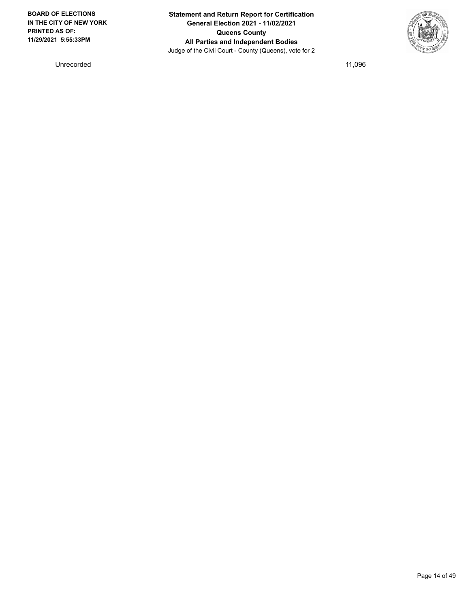**BOARD OF ELECTIONS IN THE CITY OF NEW YORK PRINTED AS OF: 11/29/2021 5:55:33PM**

**Statement and Return Report for Certification General Election 2021 - 11/02/2021 Queens County All Parties and Independent Bodies** Judge of the Civil Court - County (Queens), vote for 2



Unrecorded 11,096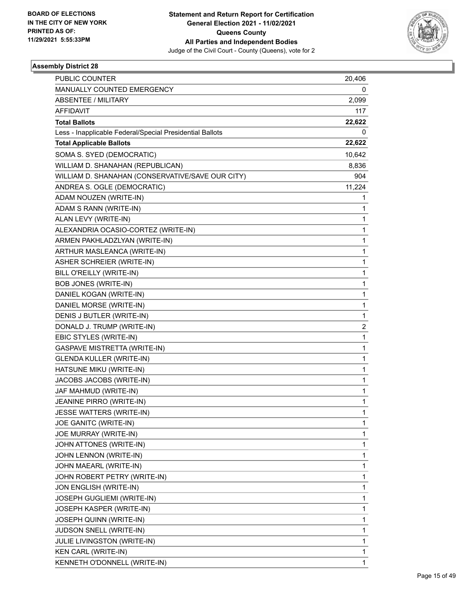

| PUBLIC COUNTER                                           | 20,406 |
|----------------------------------------------------------|--------|
| MANUALLY COUNTED EMERGENCY                               | 0      |
| <b>ABSENTEE / MILITARY</b>                               | 2,099  |
| AFFIDAVIT                                                | 117    |
| <b>Total Ballots</b>                                     | 22,622 |
| Less - Inapplicable Federal/Special Presidential Ballots | 0      |
| <b>Total Applicable Ballots</b>                          | 22,622 |
| SOMA S. SYED (DEMOCRATIC)                                | 10,642 |
| WILLIAM D. SHANAHAN (REPUBLICAN)                         | 8,836  |
| WILLIAM D. SHANAHAN (CONSERVATIVE/SAVE OUR CITY)         | 904    |
| ANDREA S. OGLE (DEMOCRATIC)                              | 11,224 |
| ADAM NOUZEN (WRITE-IN)                                   | 1      |
| ADAM S RANN (WRITE-IN)                                   | 1      |
| ALAN LEVY (WRITE-IN)                                     | 1      |
| ALEXANDRIA OCASIO-CORTEZ (WRITE-IN)                      | 1      |
| ARMEN PAKHLADZLYAN (WRITE-IN)                            | 1      |
| ARTHUR MASLEANCA (WRITE-IN)                              | 1      |
| ASHER SCHREIER (WRITE-IN)                                | 1      |
| BILL O'REILLY (WRITE-IN)                                 | 1      |
| BOB JONES (WRITE-IN)                                     | 1      |
| DANIEL KOGAN (WRITE-IN)                                  | 1      |
| DANIEL MORSE (WRITE-IN)                                  | 1      |
| DENIS J BUTLER (WRITE-IN)                                | 1      |
| DONALD J. TRUMP (WRITE-IN)                               | 2      |
| EBIC STYLES (WRITE-IN)                                   | 1      |
| GASPAVE MISTRETTA (WRITE-IN)                             | 1      |
| <b>GLENDA KULLER (WRITE-IN)</b>                          | 1      |
| HATSUNE MIKU (WRITE-IN)                                  | 1      |
| JACOBS JACOBS (WRITE-IN)                                 | 1      |
| JAF MAHMUD (WRITE-IN)                                    | 1      |
| JEANINE PIRRO (WRITE-IN)                                 | 1      |
| JESSE WATTERS (WRITE-IN)                                 | 1      |
| JOE GANITC (WRITE-IN)                                    | 1      |
| JOE MURRAY (WRITE-IN)                                    | 1      |
| JOHN ATTONES (WRITE-IN)                                  | 1      |
| JOHN LENNON (WRITE-IN)                                   | 1      |
| JOHN MAEARL (WRITE-IN)                                   | 1      |
| JOHN ROBERT PETRY (WRITE-IN)                             | 1      |
| JON ENGLISH (WRITE-IN)                                   | 1      |
| JOSEPH GUGLIEMI (WRITE-IN)                               | 1      |
| JOSEPH KASPER (WRITE-IN)                                 | 1      |
| JOSEPH QUINN (WRITE-IN)                                  | 1      |
| JUDSON SNELL (WRITE-IN)                                  | 1      |
| <b>JULIE LIVINGSTON (WRITE-IN)</b>                       | 1      |
| KEN CARL (WRITE-IN)                                      | 1      |
| KENNETH O'DONNELL (WRITE-IN)                             | 1      |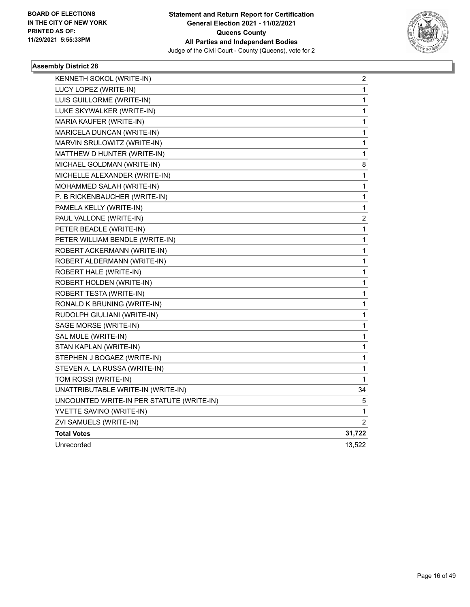

| KENNETH SOKOL (WRITE-IN)                  | 2                       |
|-------------------------------------------|-------------------------|
| LUCY LOPEZ (WRITE-IN)                     | 1                       |
| LUIS GUILLORME (WRITE-IN)                 | 1                       |
| LUKE SKYWALKER (WRITE-IN)                 | 1                       |
| MARIA KAUFER (WRITE-IN)                   | 1                       |
| MARICELA DUNCAN (WRITE-IN)                | 1                       |
| MARVIN SRULOWITZ (WRITE-IN)               | 1                       |
| MATTHEW D HUNTER (WRITE-IN)               | 1                       |
| MICHAEL GOLDMAN (WRITE-IN)                | 8                       |
| MICHELLE ALEXANDER (WRITE-IN)             | $\mathbf 1$             |
| MOHAMMED SALAH (WRITE-IN)                 | 1                       |
| P. B RICKENBAUCHER (WRITE-IN)             | 1                       |
| PAMELA KELLY (WRITE-IN)                   | 1                       |
| PAUL VALLONE (WRITE-IN)                   | $\overline{\mathbf{c}}$ |
| PETER BEADLE (WRITE-IN)                   | 1                       |
| PETER WILLIAM BENDLE (WRITE-IN)           | 1                       |
| ROBERT ACKERMANN (WRITE-IN)               | 1                       |
| ROBERT ALDERMANN (WRITE-IN)               | $\mathbf 1$             |
| ROBERT HALE (WRITE-IN)                    | $\mathbf 1$             |
| ROBERT HOLDEN (WRITE-IN)                  | 1                       |
| ROBERT TESTA (WRITE-IN)                   | 1                       |
| RONALD K BRUNING (WRITE-IN)               | 1                       |
| RUDOLPH GIULIANI (WRITE-IN)               | 1                       |
| SAGE MORSE (WRITE-IN)                     | 1                       |
| SAL MULE (WRITE-IN)                       | 1                       |
| STAN KAPLAN (WRITE-IN)                    | 1                       |
| STEPHEN J BOGAEZ (WRITE-IN)               | 1                       |
| STEVEN A. LA RUSSA (WRITE-IN)             | 1                       |
| TOM ROSSI (WRITE-IN)                      | 1                       |
| UNATTRIBUTABLE WRITE-IN (WRITE-IN)        | 34                      |
| UNCOUNTED WRITE-IN PER STATUTE (WRITE-IN) | 5                       |
| YVETTE SAVINO (WRITE-IN)                  | 1                       |
| ZVI SAMUELS (WRITE-IN)                    | 2                       |
| <b>Total Votes</b>                        | 31,722                  |
| Unrecorded                                | 13,522                  |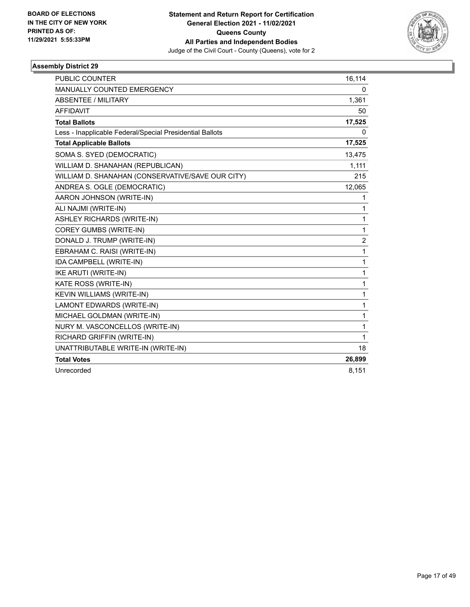

| <b>PUBLIC COUNTER</b>                                    | 16,114         |
|----------------------------------------------------------|----------------|
| <b>MANUALLY COUNTED EMERGENCY</b>                        | 0              |
| <b>ABSENTEE / MILITARY</b>                               | 1,361          |
| <b>AFFIDAVIT</b>                                         | 50             |
| <b>Total Ballots</b>                                     | 17,525         |
| Less - Inapplicable Federal/Special Presidential Ballots | 0              |
| <b>Total Applicable Ballots</b>                          | 17,525         |
| SOMA S. SYED (DEMOCRATIC)                                | 13,475         |
| WILLIAM D. SHANAHAN (REPUBLICAN)                         | 1,111          |
| WILLIAM D. SHANAHAN (CONSERVATIVE/SAVE OUR CITY)         | 215            |
| ANDREA S. OGLE (DEMOCRATIC)                              | 12,065         |
| AARON JOHNSON (WRITE-IN)                                 | 1              |
| ALI NAJMI (WRITE-IN)                                     | 1              |
| <b>ASHLEY RICHARDS (WRITE-IN)</b>                        | 1              |
| COREY GUMBS (WRITE-IN)                                   | 1              |
| DONALD J. TRUMP (WRITE-IN)                               | $\overline{c}$ |
| EBRAHAM C. RAISI (WRITE-IN)                              | 1              |
| IDA CAMPBELL (WRITE-IN)                                  | 1              |
| <b>IKE ARUTI (WRITE-IN)</b>                              | 1              |
| KATE ROSS (WRITE-IN)                                     | 1              |
| <b>KEVIN WILLIAMS (WRITE-IN)</b>                         | 1              |
| LAMONT EDWARDS (WRITE-IN)                                | 1              |
| MICHAEL GOLDMAN (WRITE-IN)                               | 1              |
| NURY M. VASCONCELLOS (WRITE-IN)                          | 1              |
| RICHARD GRIFFIN (WRITE-IN)                               | 1              |
| UNATTRIBUTABLE WRITE-IN (WRITE-IN)                       | 18             |
| <b>Total Votes</b>                                       | 26,899         |
| Unrecorded                                               | 8,151          |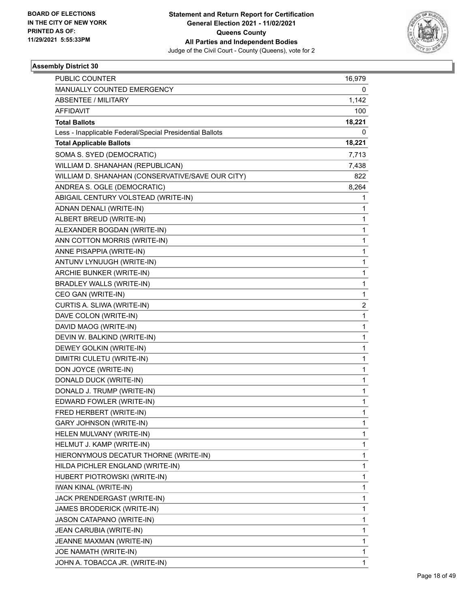

| PUBLIC COUNTER                                           | 16,979 |
|----------------------------------------------------------|--------|
| MANUALLY COUNTED EMERGENCY                               | 0      |
| <b>ABSENTEE / MILITARY</b>                               | 1,142  |
| AFFIDAVIT                                                | 100    |
| <b>Total Ballots</b>                                     | 18,221 |
| Less - Inapplicable Federal/Special Presidential Ballots | 0      |
| <b>Total Applicable Ballots</b>                          | 18,221 |
| SOMA S. SYED (DEMOCRATIC)                                | 7,713  |
| WILLIAM D. SHANAHAN (REPUBLICAN)                         | 7,438  |
| WILLIAM D. SHANAHAN (CONSERVATIVE/SAVE OUR CITY)         | 822    |
| ANDREA S. OGLE (DEMOCRATIC)                              | 8,264  |
| ABIGAIL CENTURY VOLSTEAD (WRITE-IN)                      | 1      |
| ADNAN DENALI (WRITE-IN)                                  | 1      |
| ALBERT BREUD (WRITE-IN)                                  | 1      |
| ALEXANDER BOGDAN (WRITE-IN)                              | 1      |
| ANN COTTON MORRIS (WRITE-IN)                             | 1      |
| ANNE PISAPPIA (WRITE-IN)                                 | 1      |
| ANTUNV LYNUUGH (WRITE-IN)                                | 1      |
| ARCHIE BUNKER (WRITE-IN)                                 | 1      |
| <b>BRADLEY WALLS (WRITE-IN)</b>                          | 1      |
| CEO GAN (WRITE-IN)                                       | 1      |
| CURTIS A. SLIWA (WRITE-IN)                               | 2      |
| DAVE COLON (WRITE-IN)                                    | 1      |
| DAVID MAOG (WRITE-IN)                                    | 1      |
| DEVIN W. BALKIND (WRITE-IN)                              | 1      |
| DEWEY GOLKIN (WRITE-IN)                                  | 1      |
| DIMITRI CULETU (WRITE-IN)                                | 1      |
| DON JOYCE (WRITE-IN)                                     | 1      |
| DONALD DUCK (WRITE-IN)                                   | 1      |
| DONALD J. TRUMP (WRITE-IN)                               | 1      |
| EDWARD FOWLER (WRITE-IN)                                 | 1      |
| FRED HERBERT (WRITE-IN)                                  | 1      |
| GARY JOHNSON (WRITE-IN)                                  | 1      |
| HELEN MULVANY (WRITE-IN)                                 | 1      |
| HELMUT J. KAMP (WRITE-IN)                                | 1      |
| HIERONYMOUS DECATUR THORNE (WRITE-IN)                    | 1      |
| HILDA PICHLER ENGLAND (WRITE-IN)                         | 1      |
| HUBERT PIOTROWSKI (WRITE-IN)                             | 1      |
| <b>IWAN KINAL (WRITE-IN)</b>                             | 1      |
| JACK PRENDERGAST (WRITE-IN)                              | 1      |
| JAMES BRODERICK (WRITE-IN)                               | 1      |
| JASON CATAPANO (WRITE-IN)                                | 1      |
| JEAN CARUBIA (WRITE-IN)                                  | 1      |
| JEANNE MAXMAN (WRITE-IN)                                 | 1      |
| JOE NAMATH (WRITE-IN)                                    | 1      |
| JOHN A. TOBACCA JR. (WRITE-IN)                           | 1      |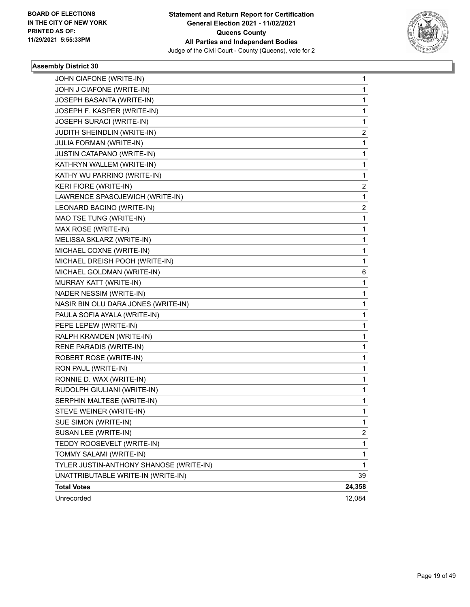

| JOHN CIAFONE (WRITE-IN)                 | 1            |
|-----------------------------------------|--------------|
| JOHN J CIAFONE (WRITE-IN)               | 1            |
| JOSEPH BASANTA (WRITE-IN)               | 1            |
| JOSEPH F. KASPER (WRITE-IN)             | 1            |
| JOSEPH SURACI (WRITE-IN)                | 1            |
| JUDITH SHEINDLIN (WRITE-IN)             | 2            |
| JULIA FORMAN (WRITE-IN)                 | 1            |
| JUSTIN CATAPANO (WRITE-IN)              | 1            |
| KATHRYN WALLEM (WRITE-IN)               | 1            |
| KATHY WU PARRINO (WRITE-IN)             | 1            |
| KERI FIORE (WRITE-IN)                   | 2            |
| LAWRENCE SPASOJEWICH (WRITE-IN)         | 1            |
| LEONARD BACINO (WRITE-IN)               | 2            |
| MAO TSE TUNG (WRITE-IN)                 | 1            |
| MAX ROSE (WRITE-IN)                     | 1            |
| MELISSA SKLARZ (WRITE-IN)               | 1            |
| MICHAEL COXNE (WRITE-IN)                | 1            |
| MICHAEL DREISH POOH (WRITE-IN)          | 1            |
| MICHAEL GOLDMAN (WRITE-IN)              | 6            |
| MURRAY KATT (WRITE-IN)                  | 1            |
| NADER NESSIM (WRITE-IN)                 | 1            |
| NASIR BIN OLU DARA JONES (WRITE-IN)     | 1            |
| PAULA SOFIA AYALA (WRITE-IN)            | 1            |
| PEPE LEPEW (WRITE-IN)                   | 1            |
| RALPH KRAMDEN (WRITE-IN)                | 1            |
| RENE PARADIS (WRITE-IN)                 | 1            |
| ROBERT ROSE (WRITE-IN)                  | 1            |
| RON PAUL (WRITE-IN)                     | 1            |
| RONNIE D. WAX (WRITE-IN)                | 1            |
| RUDOLPH GIULIANI (WRITE-IN)             | 1            |
| SERPHIN MALTESE (WRITE-IN)              | 1            |
| STEVE WEINER (WRITE-IN)                 | $\mathbf{1}$ |
| SUE SIMON (WRITE-IN)                    | 1            |
| SUSAN LEE (WRITE-IN)                    | 2            |
| TEDDY ROOSEVELT (WRITE-IN)              | 1            |
| TOMMY SALAMI (WRITE-IN)                 | 1            |
| TYLER JUSTIN-ANTHONY SHANOSE (WRITE-IN) | 1            |
| UNATTRIBUTABLE WRITE-IN (WRITE-IN)      | 39           |
| <b>Total Votes</b>                      | 24,358       |
| Unrecorded                              | 12,084       |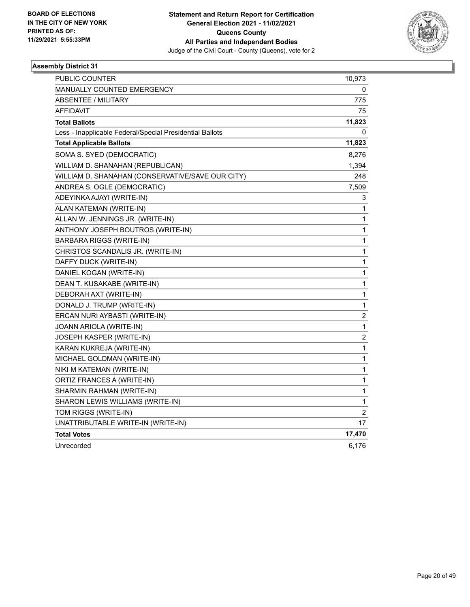

| <b>PUBLIC COUNTER</b>                                    | 10,973                  |
|----------------------------------------------------------|-------------------------|
| <b>MANUALLY COUNTED EMERGENCY</b>                        | 0                       |
| ABSENTEE / MILITARY                                      | 775                     |
| <b>AFFIDAVIT</b>                                         | 75                      |
| <b>Total Ballots</b>                                     | 11,823                  |
| Less - Inapplicable Federal/Special Presidential Ballots | 0                       |
| <b>Total Applicable Ballots</b>                          | 11,823                  |
| SOMA S. SYED (DEMOCRATIC)                                | 8,276                   |
| WILLIAM D. SHANAHAN (REPUBLICAN)                         | 1,394                   |
| WILLIAM D. SHANAHAN (CONSERVATIVE/SAVE OUR CITY)         | 248                     |
| ANDREA S. OGLE (DEMOCRATIC)                              | 7,509                   |
| ADEYINKA AJAYI (WRITE-IN)                                | 3                       |
| ALAN KATEMAN (WRITE-IN)                                  | 1                       |
| ALLAN W. JENNINGS JR. (WRITE-IN)                         | 1                       |
| ANTHONY JOSEPH BOUTROS (WRITE-IN)                        | 1                       |
| <b>BARBARA RIGGS (WRITE-IN)</b>                          | 1                       |
| CHRISTOS SCANDALIS JR. (WRITE-IN)                        | 1                       |
| DAFFY DUCK (WRITE-IN)                                    | 1                       |
| DANIEL KOGAN (WRITE-IN)                                  | 1                       |
| DEAN T. KUSAKABE (WRITE-IN)                              | 1                       |
| DEBORAH AXT (WRITE-IN)                                   | 1                       |
| DONALD J. TRUMP (WRITE-IN)                               | $\mathbf 1$             |
| ERCAN NURI AYBASTI (WRITE-IN)                            | $\overline{\mathbf{c}}$ |
| JOANN ARIOLA (WRITE-IN)                                  | 1                       |
| JOSEPH KASPER (WRITE-IN)                                 | 2                       |
| KARAN KUKREJA (WRITE-IN)                                 | 1                       |
| MICHAEL GOLDMAN (WRITE-IN)                               | 1                       |
| NIKI M KATEMAN (WRITE-IN)                                | 1                       |
| ORTIZ FRANCES A (WRITE-IN)                               | 1                       |
| SHARMIN RAHMAN (WRITE-IN)                                | 1                       |
| SHARON LEWIS WILLIAMS (WRITE-IN)                         | 1                       |
| TOM RIGGS (WRITE-IN)                                     | 2                       |
| UNATTRIBUTABLE WRITE-IN (WRITE-IN)                       | 17                      |
| <b>Total Votes</b>                                       | 17,470                  |
| Unrecorded                                               | 6,176                   |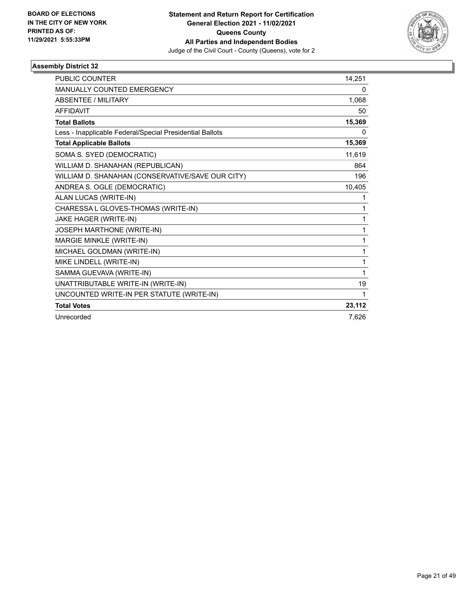

| <b>PUBLIC COUNTER</b>                                    | 14,251 |
|----------------------------------------------------------|--------|
| <b>MANUALLY COUNTED EMERGENCY</b>                        | 0      |
| <b>ABSENTEE / MILITARY</b>                               | 1,068  |
| <b>AFFIDAVIT</b>                                         | 50     |
| <b>Total Ballots</b>                                     | 15,369 |
| Less - Inapplicable Federal/Special Presidential Ballots | 0      |
| <b>Total Applicable Ballots</b>                          | 15,369 |
| SOMA S. SYED (DEMOCRATIC)                                | 11,619 |
| WILLIAM D. SHANAHAN (REPUBLICAN)                         | 864    |
| WILLIAM D. SHANAHAN (CONSERVATIVE/SAVE OUR CITY)         | 196    |
| ANDREA S. OGLE (DEMOCRATIC)                              | 10,405 |
| ALAN LUCAS (WRITE-IN)                                    | 1      |
| CHARESSA L GLOVES-THOMAS (WRITE-IN)                      | 1      |
| JAKE HAGER (WRITE-IN)                                    | 1      |
| JOSEPH MARTHONE (WRITE-IN)                               | 1      |
| MARGIE MINKLE (WRITE-IN)                                 | 1      |
| MICHAEL GOLDMAN (WRITE-IN)                               | 1      |
| MIKE LINDELL (WRITE-IN)                                  | 1      |
| SAMMA GUEVAVA (WRITE-IN)                                 | 1      |
| UNATTRIBUTABLE WRITE-IN (WRITE-IN)                       | 19     |
| UNCOUNTED WRITE-IN PER STATUTE (WRITE-IN)                | 1      |
| <b>Total Votes</b>                                       | 23,112 |
| Unrecorded                                               | 7,626  |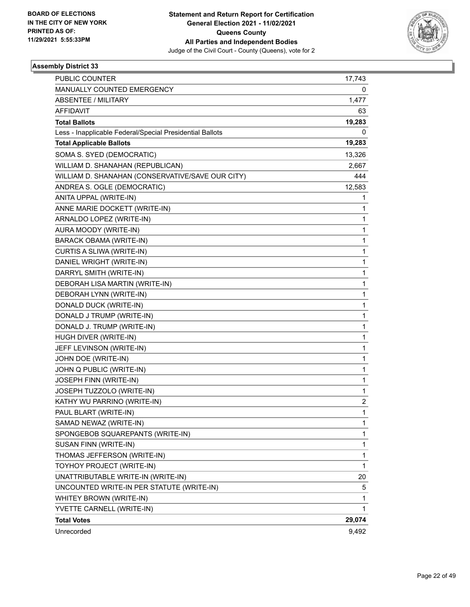

| PUBLIC COUNTER                                           | 17,743                  |
|----------------------------------------------------------|-------------------------|
| MANUALLY COUNTED EMERGENCY                               | 0                       |
| <b>ABSENTEE / MILITARY</b>                               | 1,477                   |
| AFFIDAVIT                                                | 63                      |
| <b>Total Ballots</b>                                     | 19,283                  |
| Less - Inapplicable Federal/Special Presidential Ballots | 0                       |
| <b>Total Applicable Ballots</b>                          | 19,283                  |
| SOMA S. SYED (DEMOCRATIC)                                | 13,326                  |
| WILLIAM D. SHANAHAN (REPUBLICAN)                         | 2,667                   |
| WILLIAM D. SHANAHAN (CONSERVATIVE/SAVE OUR CITY)         | 444                     |
| ANDREA S. OGLE (DEMOCRATIC)                              | 12,583                  |
| ANITA UPPAL (WRITE-IN)                                   | 1                       |
| ANNE MARIE DOCKETT (WRITE-IN)                            | 1                       |
| ARNALDO LOPEZ (WRITE-IN)                                 | $\mathbf{1}$            |
| AURA MOODY (WRITE-IN)                                    | 1                       |
| BARACK OBAMA (WRITE-IN)                                  | $\mathbf{1}$            |
| CURTIS A SLIWA (WRITE-IN)                                | $\mathbf{1}$            |
| DANIEL WRIGHT (WRITE-IN)                                 | 1                       |
| DARRYL SMITH (WRITE-IN)                                  | $\mathbf{1}$            |
| DEBORAH LISA MARTIN (WRITE-IN)                           | $\mathbf{1}$            |
| DEBORAH LYNN (WRITE-IN)                                  | 1                       |
| DONALD DUCK (WRITE-IN)                                   | $\mathbf{1}$            |
| DONALD J TRUMP (WRITE-IN)                                | $\mathbf{1}$            |
| DONALD J. TRUMP (WRITE-IN)                               | 1                       |
| HUGH DIVER (WRITE-IN)                                    | $\mathbf{1}$            |
| JEFF LEVINSON (WRITE-IN)                                 | $\mathbf{1}$            |
| JOHN DOE (WRITE-IN)                                      | 1                       |
| JOHN Q PUBLIC (WRITE-IN)                                 | $\mathbf{1}$            |
| JOSEPH FINN (WRITE-IN)                                   | $\mathbf{1}$            |
| JOSEPH TUZZOLO (WRITE-IN)                                | 1                       |
| KATHY WU PARRINO (WRITE-IN)                              | $\overline{\mathbf{c}}$ |
| PAUL BLART (WRITE-IN)                                    | $\mathbf{1}$            |
| SAMAD NEWAZ (WRITE-IN)                                   | 1                       |
| SPONGEBOB SQUAREPANTS (WRITE-IN)                         | 1                       |
| SUSAN FINN (WRITE-IN)                                    | $\mathbf{1}$            |
| THOMAS JEFFERSON (WRITE-IN)                              | 1                       |
| TOYHOY PROJECT (WRITE-IN)                                | $\mathbf{1}$            |
| UNATTRIBUTABLE WRITE-IN (WRITE-IN)                       | 20                      |
| UNCOUNTED WRITE-IN PER STATUTE (WRITE-IN)                | 5                       |
| WHITEY BROWN (WRITE-IN)                                  | 1                       |
| YVETTE CARNELL (WRITE-IN)                                | $\mathbf{1}$            |
| <b>Total Votes</b>                                       | 29,074                  |
| Unrecorded                                               | 9,492                   |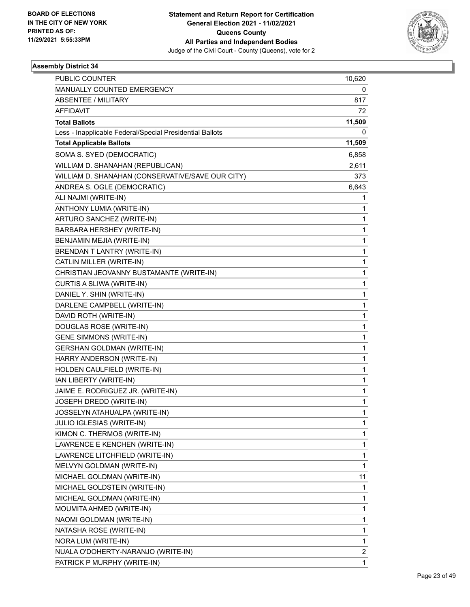

| <b>PUBLIC COUNTER</b>                                    | 10,620 |
|----------------------------------------------------------|--------|
| MANUALLY COUNTED EMERGENCY                               | 0      |
| ABSENTEE / MILITARY                                      | 817    |
| AFFIDAVIT                                                | 72     |
| <b>Total Ballots</b>                                     | 11,509 |
| Less - Inapplicable Federal/Special Presidential Ballots | 0      |
| <b>Total Applicable Ballots</b>                          | 11,509 |
| SOMA S. SYED (DEMOCRATIC)                                | 6,858  |
| WILLIAM D. SHANAHAN (REPUBLICAN)                         | 2,611  |
| WILLIAM D. SHANAHAN (CONSERVATIVE/SAVE OUR CITY)         | 373    |
| ANDREA S. OGLE (DEMOCRATIC)                              | 6,643  |
| ALI NAJMI (WRITE-IN)                                     | 1      |
| ANTHONY LUMIA (WRITE-IN)                                 | 1      |
| ARTURO SANCHEZ (WRITE-IN)                                | 1      |
| BARBARA HERSHEY (WRITE-IN)                               | 1      |
| BENJAMIN MEJIA (WRITE-IN)                                | 1      |
| BRENDAN T LANTRY (WRITE-IN)                              | 1      |
| CATLIN MILLER (WRITE-IN)                                 | 1      |
| CHRISTIAN JEOVANNY BUSTAMANTE (WRITE-IN)                 | 1      |
| CURTIS A SLIWA (WRITE-IN)                                | 1      |
| DANIEL Y. SHIN (WRITE-IN)                                | 1      |
| DARLENE CAMPBELL (WRITE-IN)                              | 1      |
| DAVID ROTH (WRITE-IN)                                    | 1      |
| DOUGLAS ROSE (WRITE-IN)                                  | 1      |
| <b>GENE SIMMONS (WRITE-IN)</b>                           | 1      |
| GERSHAN GOLDMAN (WRITE-IN)                               | 1      |
| HARRY ANDERSON (WRITE-IN)                                | 1      |
| HOLDEN CAULFIELD (WRITE-IN)                              | 1      |
| IAN LIBERTY (WRITE-IN)                                   | 1      |
| JAIME E. RODRIGUEZ JR. (WRITE-IN)                        | 1      |
| JOSEPH DREDD (WRITE-IN)                                  | 1      |
| JOSSELYN ATAHUALPA (WRITE-IN)                            | 1      |
| JULIO IGLESIAS (WRITE-IN)                                | 1      |
| KIMON C. THERMOS (WRITE-IN)                              | 1      |
| LAWRENCE E KENCHEN (WRITE-IN)                            | 1      |
| LAWRENCE LITCHFIELD (WRITE-IN)                           | 1      |
| MELVYN GOLDMAN (WRITE-IN)                                | 1      |
| MICHAEL GOLDMAN (WRITE-IN)                               | 11     |
| MICHAEL GOLDSTEIN (WRITE-IN)                             | 1      |
| MICHEAL GOLDMAN (WRITE-IN)                               | 1      |
| MOUMITA AHMED (WRITE-IN)                                 | 1      |
| NAOMI GOLDMAN (WRITE-IN)                                 | 1      |
| NATASHA ROSE (WRITE-IN)                                  | 1      |
| NORA LUM (WRITE-IN)                                      | 1      |
| NUALA O'DOHERTY-NARANJO (WRITE-IN)                       | 2      |
| PATRICK P MURPHY (WRITE-IN)                              | 1      |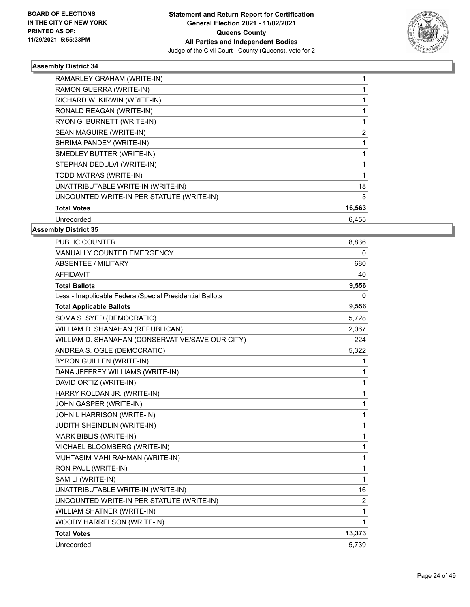

| RAMARLEY GRAHAM (WRITE-IN)                |                |
|-------------------------------------------|----------------|
| RAMON GUERRA (WRITE-IN)                   |                |
| RICHARD W. KIRWIN (WRITE-IN)              |                |
| RONALD REAGAN (WRITE-IN)                  |                |
| RYON G. BURNETT (WRITE-IN)                |                |
| SEAN MAGUIRE (WRITE-IN)                   | $\overline{2}$ |
| SHRIMA PANDEY (WRITE-IN)                  |                |
| SMEDLEY BUTTER (WRITE-IN)                 |                |
| STEPHAN DEDULVI (WRITE-IN)                |                |
| TODD MATRAS (WRITE-IN)                    |                |
| UNATTRIBUTABLE WRITE-IN (WRITE-IN)        | 18             |
| UNCOUNTED WRITE-IN PER STATUTE (WRITE-IN) | 3              |
| <b>Total Votes</b>                        | 16,563         |
| Unrecorded                                | 6,455          |
|                                           |                |

| <b>PUBLIC COUNTER</b>                                    | 8,836          |
|----------------------------------------------------------|----------------|
| <b>MANUALLY COUNTED EMERGENCY</b>                        | 0              |
| ABSENTEE / MILITARY                                      | 680            |
| <b>AFFIDAVIT</b>                                         | 40             |
| <b>Total Ballots</b>                                     | 9,556          |
| Less - Inapplicable Federal/Special Presidential Ballots | 0              |
| <b>Total Applicable Ballots</b>                          | 9,556          |
| SOMA S. SYED (DEMOCRATIC)                                | 5,728          |
| WILLIAM D. SHANAHAN (REPUBLICAN)                         | 2,067          |
| WILLIAM D. SHANAHAN (CONSERVATIVE/SAVE OUR CITY)         | 224            |
| ANDREA S. OGLE (DEMOCRATIC)                              | 5,322          |
| BYRON GUILLEN (WRITE-IN)                                 | 1              |
| DANA JEFFREY WILLIAMS (WRITE-IN)                         | 1              |
| DAVID ORTIZ (WRITE-IN)                                   | 1              |
| HARRY ROLDAN JR. (WRITE-IN)                              | 1              |
| JOHN GASPER (WRITE-IN)                                   | 1              |
| JOHN L HARRISON (WRITE-IN)                               | 1              |
| JUDITH SHEINDLIN (WRITE-IN)                              | 1              |
| MARK BIBLIS (WRITE-IN)                                   | 1              |
| MICHAEL BLOOMBERG (WRITE-IN)                             | 1              |
| MUHTASIM MAHI RAHMAN (WRITE-IN)                          | 1              |
| RON PAUL (WRITE-IN)                                      | 1              |
| SAM LI (WRITE-IN)                                        | 1              |
| UNATTRIBUTABLE WRITE-IN (WRITE-IN)                       | 16             |
| UNCOUNTED WRITE-IN PER STATUTE (WRITE-IN)                | $\overline{2}$ |
| WILLIAM SHATNER (WRITE-IN)                               | 1              |
| WOODY HARRELSON (WRITE-IN)                               | 1              |
| <b>Total Votes</b>                                       | 13,373         |
| Unrecorded                                               | 5,739          |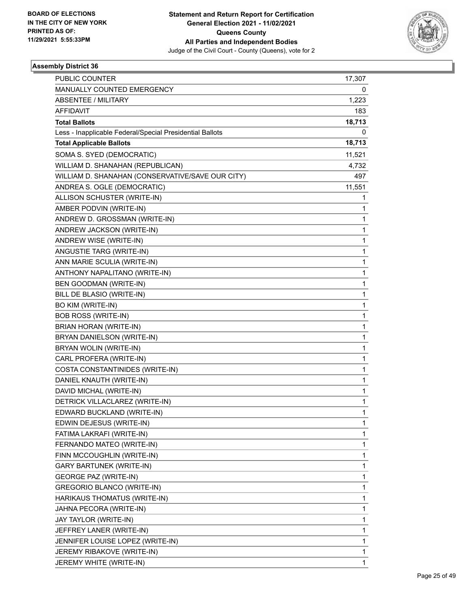

| <b>PUBLIC COUNTER</b>                                    | 17,307 |
|----------------------------------------------------------|--------|
| MANUALLY COUNTED EMERGENCY                               | 0      |
| <b>ABSENTEE / MILITARY</b>                               | 1,223  |
| AFFIDAVIT                                                | 183    |
| <b>Total Ballots</b>                                     | 18,713 |
| Less - Inapplicable Federal/Special Presidential Ballots | 0      |
| <b>Total Applicable Ballots</b>                          | 18,713 |
| SOMA S. SYED (DEMOCRATIC)                                | 11,521 |
| WILLIAM D. SHANAHAN (REPUBLICAN)                         | 4,732  |
| WILLIAM D. SHANAHAN (CONSERVATIVE/SAVE OUR CITY)         | 497    |
| ANDREA S. OGLE (DEMOCRATIC)                              | 11,551 |
| ALLISON SCHUSTER (WRITE-IN)                              | 1      |
| AMBER PODVIN (WRITE-IN)                                  | 1      |
| ANDREW D. GROSSMAN (WRITE-IN)                            | 1      |
| ANDREW JACKSON (WRITE-IN)                                | 1      |
| ANDREW WISE (WRITE-IN)                                   | 1      |
| ANGUSTIE TARG (WRITE-IN)                                 | 1      |
| ANN MARIE SCULIA (WRITE-IN)                              | 1      |
| ANTHONY NAPALITANO (WRITE-IN)                            | 1      |
| BEN GOODMAN (WRITE-IN)                                   | 1      |
| BILL DE BLASIO (WRITE-IN)                                | 1      |
| BO KIM (WRITE-IN)                                        | 1      |
| <b>BOB ROSS (WRITE-IN)</b>                               | 1      |
| BRIAN HORAN (WRITE-IN)                                   | 1      |
| BRYAN DANIELSON (WRITE-IN)                               | 1      |
| BRYAN WOLIN (WRITE-IN)                                   | 1      |
| CARL PROFERA (WRITE-IN)                                  | 1      |
| COSTA CONSTANTINIDES (WRITE-IN)                          | 1      |
| DANIEL KNAUTH (WRITE-IN)                                 | 1      |
| DAVID MICHAL (WRITE-IN)                                  | 1      |
| DETRICK VILLACLAREZ (WRITE-IN)                           | 1      |
| EDWARD BUCKLAND (WRITE-IN)                               | 1      |
| EDWIN DEJESUS (WRITE-IN)                                 | 1      |
| FATIMA LAKRAFI (WRITE-IN)                                | 1      |
| FERNANDO MATEO (WRITE-IN)                                | 1      |
| FINN MCCOUGHLIN (WRITE-IN)                               | 1      |
| GARY BARTUNEK (WRITE-IN)                                 | 1      |
| <b>GEORGE PAZ (WRITE-IN)</b>                             | 1      |
| GREGORIO BLANCO (WRITE-IN)                               | 1      |
| HARIKAUS THOMATUS (WRITE-IN)                             | 1      |
| JAHNA PECORA (WRITE-IN)                                  | 1      |
| JAY TAYLOR (WRITE-IN)                                    | 1      |
| JEFFREY LANER (WRITE-IN)                                 | 1      |
| JENNIFER LOUISE LOPEZ (WRITE-IN)                         | 1      |
| JEREMY RIBAKOVE (WRITE-IN)                               | 1      |
| JEREMY WHITE (WRITE-IN)                                  | 1      |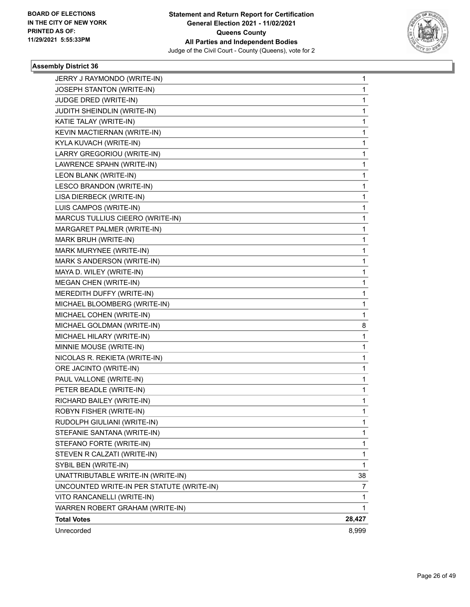

| Unrecorded                                           | 8,999  |
|------------------------------------------------------|--------|
| <b>Total Votes</b>                                   | 28,427 |
| WARREN ROBERT GRAHAM (WRITE-IN)                      | 1      |
| VITO RANCANELLI (WRITE-IN)                           | 1      |
| UNCOUNTED WRITE-IN PER STATUTE (WRITE-IN)            | 7      |
| UNATTRIBUTABLE WRITE-IN (WRITE-IN)                   | 38     |
| SYBIL BEN (WRITE-IN)                                 | 1      |
| STEVEN R CALZATI (WRITE-IN)                          | 1      |
| STEFANO FORTE (WRITE-IN)                             | 1      |
| STEFANIE SANTANA (WRITE-IN)                          | 1      |
| RUDOLPH GIULIANI (WRITE-IN)                          | 1      |
| ROBYN FISHER (WRITE-IN)                              | 1      |
| RICHARD BAILEY (WRITE-IN)                            | 1      |
| PETER BEADLE (WRITE-IN)                              | 1      |
| PAUL VALLONE (WRITE-IN)                              | 1      |
| ORE JACINTO (WRITE-IN)                               | 1      |
| NICOLAS R. REKIETA (WRITE-IN)                        | 1      |
| MINNIE MOUSE (WRITE-IN)                              | 1      |
| MICHAEL HILARY (WRITE-IN)                            | 1      |
| MICHAEL GOLDMAN (WRITE-IN)                           | 8      |
| MICHAEL COHEN (WRITE-IN)                             | 1      |
| MICHAEL BLOOMBERG (WRITE-IN)                         | 1      |
| MEREDITH DUFFY (WRITE-IN)                            | 1      |
| MEGAN CHEN (WRITE-IN)                                | 1      |
| MAYA D. WILEY (WRITE-IN)                             | 1      |
| MARK S ANDERSON (WRITE-IN)                           | 1      |
| MARK MURYNEE (WRITE-IN)                              | 1      |
| MARK BRUH (WRITE-IN)                                 | 1      |
| MARGARET PALMER (WRITE-IN)                           | 1      |
| MARCUS TULLIUS CIEERO (WRITE-IN)                     | 1      |
| LUIS CAMPOS (WRITE-IN)                               | 1      |
| LISA DIERBECK (WRITE-IN)                             | 1      |
| LESCO BRANDON (WRITE-IN)                             | 1      |
| LEON BLANK (WRITE-IN)                                | 1      |
| LAWRENCE SPAHN (WRITE-IN)                            | 1      |
| LARRY GREGORIOU (WRITE-IN)                           | 1      |
| KYLA KUVACH (WRITE-IN)                               | 1      |
| KEVIN MACTIERNAN (WRITE-IN)                          | 1      |
| KATIE TALAY (WRITE-IN)                               | 1      |
| JUDGE DRED (WRITE-IN)<br>JUDITH SHEINDLIN (WRITE-IN) | 1<br>1 |
| JOSEPH STANTON (WRITE-IN)                            | 1      |
| JERRY J RAYMONDO (WRITE-IN)                          | 1      |
|                                                      |        |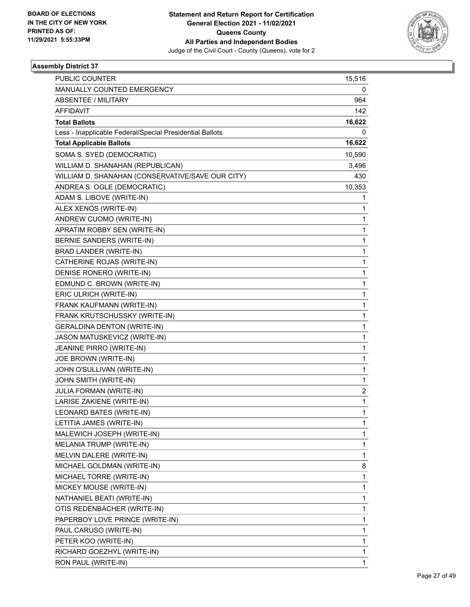

| <b>PUBLIC COUNTER</b>                                    | 15,516 |
|----------------------------------------------------------|--------|
| MANUALLY COUNTED EMERGENCY                               | 0      |
| ABSENTEE / MILITARY                                      | 964    |
| AFFIDAVIT                                                | 142    |
| <b>Total Ballots</b>                                     | 16,622 |
| Less - Inapplicable Federal/Special Presidential Ballots | 0      |
| <b>Total Applicable Ballots</b>                          | 16,622 |
| SOMA S. SYED (DEMOCRATIC)                                | 10,590 |
| WILLIAM D. SHANAHAN (REPUBLICAN)                         | 3,496  |
| WILLIAM D. SHANAHAN (CONSERVATIVE/SAVE OUR CITY)         | 430    |
| ANDREA S. OGLE (DEMOCRATIC)                              | 10,353 |
| ADAM S. LIBOVE (WRITE-IN)                                | 1      |
| ALEX XENOS (WRITE-IN)                                    | 1      |
| ANDREW CUOMO (WRITE-IN)                                  | 1      |
| APRATIM ROBBY SEN (WRITE-IN)                             | 1      |
| BERNIE SANDERS (WRITE-IN)                                | 1      |
| BRAD LANDER (WRITE-IN)                                   | 1      |
| CATHERINE ROJAS (WRITE-IN)                               | 1      |
| DENISE RONERO (WRITE-IN)                                 | 1      |
| EDMUND C. BROWN (WRITE-IN)                               | 1      |
| ERIC ULRICH (WRITE-IN)                                   | 1      |
| FRANK KAUFMANN (WRITE-IN)                                | 1      |
| FRANK KRUTSCHUSSKY (WRITE-IN)                            | 1      |
| <b>GERALDINA DENTON (WRITE-IN)</b>                       | 1      |
| JASON MATUSKEVICZ (WRITE-IN)                             | 1      |
| JEANINE PIRRO (WRITE-IN)                                 | 1      |
| JOE BROWN (WRITE-IN)                                     | 1      |
| JOHN O'SULLIVAN (WRITE-IN)                               | 1      |
| JOHN SMITH (WRITE-IN)                                    | 1      |
| JULIA FORMAN (WRITE-IN)                                  | 2      |
| LARISE ZAKIENE (WRITE-IN)                                | 1      |
| LEONARD BATES (WRITE-IN)                                 | 1      |
| LETITIA JAMES (WRITE-IN)                                 | 1      |
| MALEWICH JOSEPH (WRITE-IN)                               | 1      |
| MELANIA TRUMP (WRITE-IN)                                 | 1      |
| MELVIN DALERE (WRITE-IN)                                 | 1      |
| MICHAEL GOLDMAN (WRITE-IN)                               | 8      |
| MICHAEL TORRE (WRITE-IN)                                 | 1      |
| MICKEY MOUSE (WRITE-IN)                                  | 1      |
| NATHANIEL BEATI (WRITE-IN)                               | 1      |
| OTIS REDENBACHER (WRITE-IN)                              | 1      |
| PAPERBOY LOVE PRINCE (WRITE-IN)                          | 1      |
| PAUL CARUSO (WRITE-IN)                                   | 1      |
| PETER KOO (WRITE-IN)                                     | 1      |
| RICHARD GOEZHYL (WRITE-IN)                               | 1      |
| RON PAUL (WRITE-IN)                                      | 1      |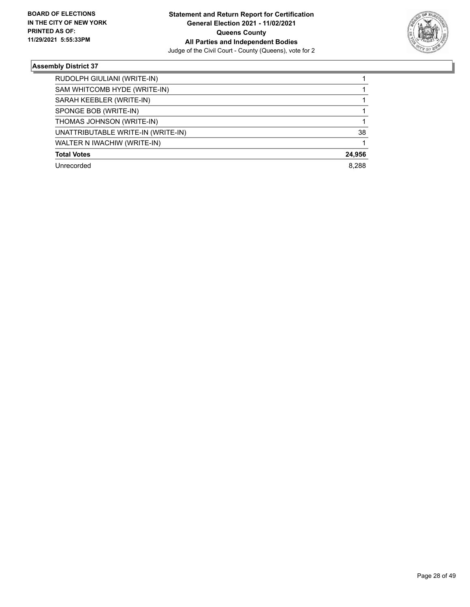

| RUDOLPH GIULIANI (WRITE-IN)<br>SAM WHITCOMB HYDE (WRITE-IN)<br>SARAH KEEBLER (WRITE-IN)<br>SPONGE BOB (WRITE-IN)<br>THOMAS JOHNSON (WRITE-IN)<br>UNATTRIBUTABLE WRITE-IN (WRITE-IN)<br>WALTER N IWACHIW (WRITE-IN)<br><b>Total Votes</b> |            |        |
|------------------------------------------------------------------------------------------------------------------------------------------------------------------------------------------------------------------------------------------|------------|--------|
|                                                                                                                                                                                                                                          |            |        |
|                                                                                                                                                                                                                                          |            |        |
|                                                                                                                                                                                                                                          |            |        |
|                                                                                                                                                                                                                                          |            |        |
|                                                                                                                                                                                                                                          |            |        |
|                                                                                                                                                                                                                                          |            | 38     |
|                                                                                                                                                                                                                                          |            |        |
|                                                                                                                                                                                                                                          |            | 24,956 |
|                                                                                                                                                                                                                                          | Unrecorded | 8.288  |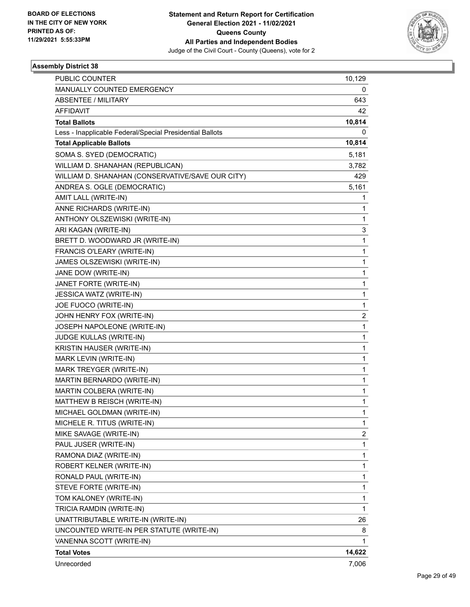

| PUBLIC COUNTER                                           | 10,129                  |
|----------------------------------------------------------|-------------------------|
| MANUALLY COUNTED EMERGENCY                               | 0                       |
| <b>ABSENTEE / MILITARY</b>                               | 643                     |
| AFFIDAVIT                                                | 42                      |
| <b>Total Ballots</b>                                     | 10,814                  |
| Less - Inapplicable Federal/Special Presidential Ballots | 0                       |
| <b>Total Applicable Ballots</b>                          | 10,814                  |
| SOMA S. SYED (DEMOCRATIC)                                | 5,181                   |
| WILLIAM D. SHANAHAN (REPUBLICAN)                         | 3,782                   |
| WILLIAM D. SHANAHAN (CONSERVATIVE/SAVE OUR CITY)         | 429                     |
| ANDREA S. OGLE (DEMOCRATIC)                              | 5,161                   |
| AMIT LALL (WRITE-IN)                                     | 1                       |
| ANNE RICHARDS (WRITE-IN)                                 | 1                       |
| ANTHONY OLSZEWISKI (WRITE-IN)                            | 1                       |
| ARI KAGAN (WRITE-IN)                                     | 3                       |
| BRETT D. WOODWARD JR (WRITE-IN)                          | 1                       |
| FRANCIS O'LEARY (WRITE-IN)                               | 1                       |
| JAMES OLSZEWISKI (WRITE-IN)                              | $\mathbf{1}$            |
| JANE DOW (WRITE-IN)                                      | 1                       |
| JANET FORTE (WRITE-IN)                                   | 1                       |
| JESSICA WATZ (WRITE-IN)                                  | $\mathbf{1}$            |
| JOE FUOCO (WRITE-IN)                                     | 1                       |
| JOHN HENRY FOX (WRITE-IN)                                | 2                       |
| JOSEPH NAPOLEONE (WRITE-IN)                              | $\mathbf{1}$            |
| JUDGE KULLAS (WRITE-IN)                                  | 1                       |
| KRISTIN HAUSER (WRITE-IN)                                | 1                       |
| MARK LEVIN (WRITE-IN)                                    | 1                       |
| MARK TREYGER (WRITE-IN)                                  | 1                       |
| MARTIN BERNARDO (WRITE-IN)                               | 1                       |
| MARTIN COLBERA (WRITE-IN)                                | $\mathbf{1}$            |
| MATTHEW B REISCH (WRITE-IN)                              | 1                       |
| MICHAEL GOLDMAN (WRITE-IN)                               | $\mathbf{1}$            |
| MICHELE R. TITUS (WRITE-IN)                              | $\mathbf{1}$            |
| MIKE SAVAGE (WRITE-IN)                                   | $\overline{\mathbf{c}}$ |
| PAUL JUSER (WRITE-IN)                                    | 1                       |
| RAMONA DIAZ (WRITE-IN)                                   | $\mathbf{1}$            |
| ROBERT KELNER (WRITE-IN)                                 | 1                       |
| RONALD PAUL (WRITE-IN)                                   | 1                       |
| STEVE FORTE (WRITE-IN)                                   | $\mathbf{1}$            |
| TOM KALONEY (WRITE-IN)                                   | 1                       |
| TRICIA RAMDIN (WRITE-IN)                                 | 1                       |
| UNATTRIBUTABLE WRITE-IN (WRITE-IN)                       | 26                      |
| UNCOUNTED WRITE-IN PER STATUTE (WRITE-IN)                | 8                       |
| VANENNA SCOTT (WRITE-IN)                                 | 1                       |
| <b>Total Votes</b>                                       | 14,622                  |
| Unrecorded                                               | 7,006                   |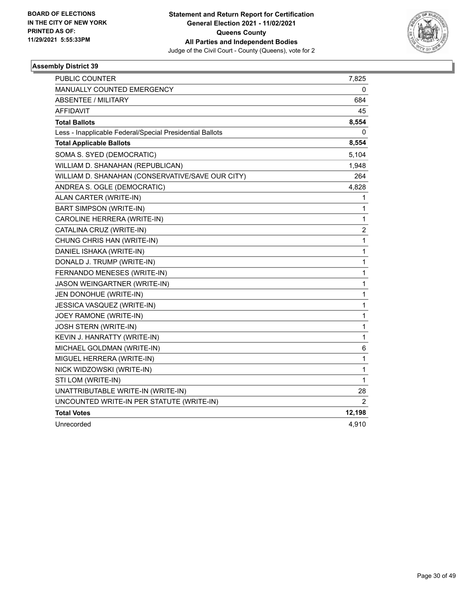

| PUBLIC COUNTER                                           | 7,825          |
|----------------------------------------------------------|----------------|
| MANUALLY COUNTED EMERGENCY                               | 0              |
| <b>ABSENTEE / MILITARY</b>                               | 684            |
| AFFIDAVIT                                                | 45             |
| <b>Total Ballots</b>                                     | 8,554          |
| Less - Inapplicable Federal/Special Presidential Ballots | 0              |
| <b>Total Applicable Ballots</b>                          | 8,554          |
| SOMA S. SYED (DEMOCRATIC)                                | 5,104          |
| WILLIAM D. SHANAHAN (REPUBLICAN)                         | 1,948          |
| WILLIAM D. SHANAHAN (CONSERVATIVE/SAVE OUR CITY)         | 264            |
| ANDREA S. OGLE (DEMOCRATIC)                              | 4,828          |
| ALAN CARTER (WRITE-IN)                                   | 1              |
| <b>BART SIMPSON (WRITE-IN)</b>                           | 1              |
| CAROLINE HERRERA (WRITE-IN)                              | 1              |
| CATALINA CRUZ (WRITE-IN)                                 | 2              |
| CHUNG CHRIS HAN (WRITE-IN)                               | 1              |
| DANIEL ISHAKA (WRITE-IN)                                 | 1              |
| DONALD J. TRUMP (WRITE-IN)                               | 1              |
| FERNANDO MENESES (WRITE-IN)                              | 1              |
| JASON WEINGARTNER (WRITE-IN)                             | 1              |
| JEN DONOHUE (WRITE-IN)                                   | 1              |
| JESSICA VASQUEZ (WRITE-IN)                               | 1              |
| JOEY RAMONE (WRITE-IN)                                   | 1              |
| JOSH STERN (WRITE-IN)                                    | 1              |
| KEVIN J. HANRATTY (WRITE-IN)                             | 1              |
| MICHAEL GOLDMAN (WRITE-IN)                               | 6              |
| MIGUEL HERRERA (WRITE-IN)                                | 1              |
| NICK WIDZOWSKI (WRITE-IN)                                | 1              |
| STI LOM (WRITE-IN)                                       | 1              |
| UNATTRIBUTABLE WRITE-IN (WRITE-IN)                       | 28             |
| UNCOUNTED WRITE-IN PER STATUTE (WRITE-IN)                | $\overline{2}$ |
| <b>Total Votes</b>                                       | 12,198         |
| Unrecorded                                               | 4,910          |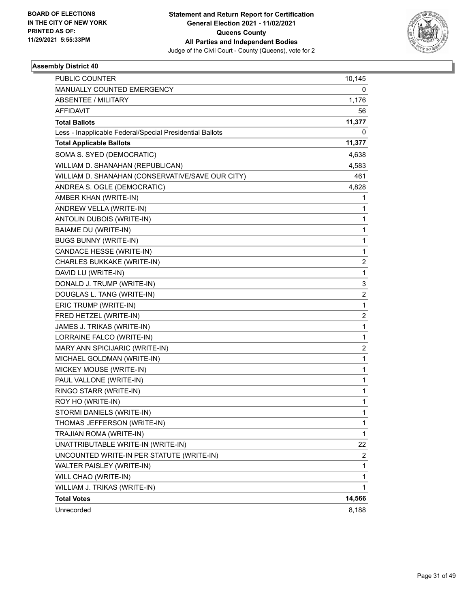

| PUBLIC COUNTER                                           | 10,145                  |
|----------------------------------------------------------|-------------------------|
| MANUALLY COUNTED EMERGENCY                               | 0                       |
| ABSENTEE / MILITARY                                      | 1,176                   |
| AFFIDAVIT                                                | 56                      |
| <b>Total Ballots</b>                                     | 11,377                  |
| Less - Inapplicable Federal/Special Presidential Ballots | 0                       |
| <b>Total Applicable Ballots</b>                          | 11,377                  |
| SOMA S. SYED (DEMOCRATIC)                                | 4,638                   |
| WILLIAM D. SHANAHAN (REPUBLICAN)                         | 4,583                   |
| WILLIAM D. SHANAHAN (CONSERVATIVE/SAVE OUR CITY)         | 461                     |
| ANDREA S. OGLE (DEMOCRATIC)                              | 4,828                   |
| AMBER KHAN (WRITE-IN)                                    | 1                       |
| ANDREW VELLA (WRITE-IN)                                  | 1                       |
| ANTOLIN DUBOIS (WRITE-IN)                                | 1                       |
| BAIAME DU (WRITE-IN)                                     | 1                       |
| <b>BUGS BUNNY (WRITE-IN)</b>                             | 1                       |
| CANDACE HESSE (WRITE-IN)                                 | 1                       |
| CHARLES BUKKAKE (WRITE-IN)                               | 2                       |
| DAVID LU (WRITE-IN)                                      | 1                       |
| DONALD J. TRUMP (WRITE-IN)                               | 3                       |
| DOUGLAS L. TANG (WRITE-IN)                               | $\overline{\mathbf{c}}$ |
| ERIC TRUMP (WRITE-IN)                                    | 1                       |
| FRED HETZEL (WRITE-IN)                                   | 2                       |
| JAMES J. TRIKAS (WRITE-IN)                               | 1                       |
| LORRAINE FALCO (WRITE-IN)                                | 1                       |
| MARY ANN SPICIJARIC (WRITE-IN)                           | 2                       |
| MICHAEL GOLDMAN (WRITE-IN)                               | $\mathbf{1}$            |
| MICKEY MOUSE (WRITE-IN)                                  | 1                       |
| PAUL VALLONE (WRITE-IN)                                  | 1                       |
| RINGO STARR (WRITE-IN)                                   | 1                       |
| ROY HO (WRITE-IN)                                        | 1                       |
| STORMI DANIELS (WRITE-IN)                                | 1                       |
| THOMAS JEFFERSON (WRITE-IN)                              | 1                       |
| TRAJIAN ROMA (WRITE-IN)                                  | 1                       |
| UNATTRIBUTABLE WRITE-IN (WRITE-IN)                       | 22                      |
| UNCOUNTED WRITE-IN PER STATUTE (WRITE-IN)                | 2                       |
| WALTER PAISLEY (WRITE-IN)                                | 1                       |
| WILL CHAO (WRITE-IN)                                     | 1                       |
| WILLIAM J. TRIKAS (WRITE-IN)                             | 1                       |
| <b>Total Votes</b>                                       | 14,566                  |
| Unrecorded                                               | 8,188                   |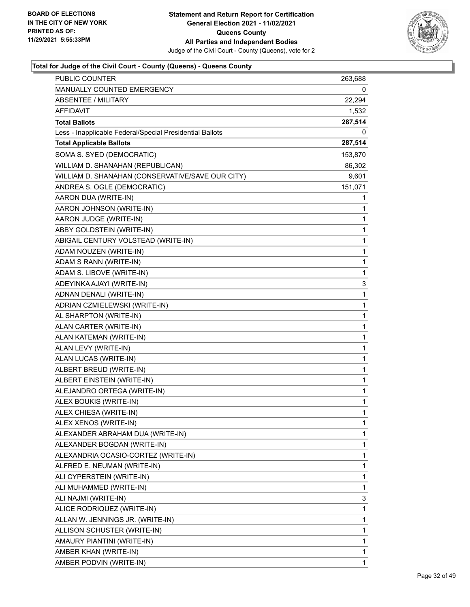

| <b>PUBLIC COUNTER</b>                                    | 263,688 |
|----------------------------------------------------------|---------|
| MANUALLY COUNTED EMERGENCY                               | 0       |
| <b>ABSENTEE / MILITARY</b>                               | 22,294  |
| AFFIDAVIT                                                | 1,532   |
| <b>Total Ballots</b>                                     | 287,514 |
| Less - Inapplicable Federal/Special Presidential Ballots | 0       |
| <b>Total Applicable Ballots</b>                          | 287,514 |
| SOMA S. SYED (DEMOCRATIC)                                | 153,870 |
| WILLIAM D. SHANAHAN (REPUBLICAN)                         | 86,302  |
| WILLIAM D. SHANAHAN (CONSERVATIVE/SAVE OUR CITY)         | 9,601   |
| ANDREA S. OGLE (DEMOCRATIC)                              | 151,071 |
| AARON DUA (WRITE-IN)                                     | 1       |
| AARON JOHNSON (WRITE-IN)                                 | 1       |
| AARON JUDGE (WRITE-IN)                                   | 1       |
| ABBY GOLDSTEIN (WRITE-IN)                                | 1       |
| ABIGAIL CENTURY VOLSTEAD (WRITE-IN)                      | 1       |
| ADAM NOUZEN (WRITE-IN)                                   | 1       |
| ADAM S RANN (WRITE-IN)                                   | 1       |
| ADAM S. LIBOVE (WRITE-IN)                                | 1       |
| ADEYINKA AJAYI (WRITE-IN)                                | 3       |
| ADNAN DENALI (WRITE-IN)                                  | 1       |
| ADRIAN CZMIELEWSKI (WRITE-IN)                            | 1       |
| AL SHARPTON (WRITE-IN)                                   | 1       |
| ALAN CARTER (WRITE-IN)                                   | 1       |
| ALAN KATEMAN (WRITE-IN)                                  | 1       |
| ALAN LEVY (WRITE-IN)                                     | 1       |
| ALAN LUCAS (WRITE-IN)                                    | 1       |
| ALBERT BREUD (WRITE-IN)                                  | 1       |
| ALBERT EINSTEIN (WRITE-IN)                               | 1       |
| ALEJANDRO ORTEGA (WRITE-IN)                              | 1       |
| ALEX BOUKIS (WRITE-IN)                                   | 1       |
| ALEX CHIESA (WRITE-IN)                                   | 1       |
| ALEX XENOS (WRITE-IN)                                    | 1       |
| ALEXANDER ABRAHAM DUA (WRITE-IN)                         | 1       |
| ALEXANDER BOGDAN (WRITE-IN)                              | 1       |
| ALEXANDRIA OCASIO-CORTEZ (WRITE-IN)                      | 1       |
| ALFRED E. NEUMAN (WRITE-IN)                              | 1       |
| ALI CYPERSTEIN (WRITE-IN)                                | 1       |
| ALI MUHAMMED (WRITE-IN)                                  | 1       |
| ALI NAJMI (WRITE-IN)                                     | 3       |
| ALICE RODRIQUEZ (WRITE-IN)                               | 1       |
| ALLAN W. JENNINGS JR. (WRITE-IN)                         | 1       |
| ALLISON SCHUSTER (WRITE-IN)                              | 1       |
| AMAURY PIANTINI (WRITE-IN)                               | 1       |
| AMBER KHAN (WRITE-IN)                                    | 1       |
| AMBER PODVIN (WRITE-IN)                                  | 1       |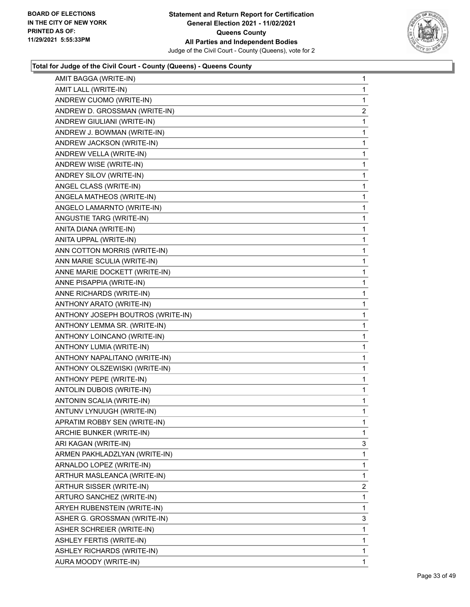

| AMIT BAGGA (WRITE-IN)             | 1            |
|-----------------------------------|--------------|
| AMIT LALL (WRITE-IN)              | $\mathbf 1$  |
| ANDREW CUOMO (WRITE-IN)           | $\mathbf{1}$ |
| ANDREW D. GROSSMAN (WRITE-IN)     | 2            |
| ANDREW GIULIANI (WRITE-IN)        | 1            |
| ANDREW J. BOWMAN (WRITE-IN)       | 1            |
| ANDREW JACKSON (WRITE-IN)         | 1            |
| ANDREW VELLA (WRITE-IN)           | 1            |
| ANDREW WISE (WRITE-IN)            | $\mathbf{1}$ |
| ANDREY SILOV (WRITE-IN)           | $\mathbf{1}$ |
| ANGEL CLASS (WRITE-IN)            | 1            |
| ANGELA MATHEOS (WRITE-IN)         | 1            |
| ANGELO LAMARNTO (WRITE-IN)        | 1            |
| ANGUSTIE TARG (WRITE-IN)          | 1            |
| ANITA DIANA (WRITE-IN)            | $\mathbf{1}$ |
| ANITA UPPAL (WRITE-IN)            | $\mathbf{1}$ |
| ANN COTTON MORRIS (WRITE-IN)      | 1            |
| ANN MARIE SCULIA (WRITE-IN)       | 1            |
| ANNE MARIE DOCKETT (WRITE-IN)     | 1            |
| ANNE PISAPPIA (WRITE-IN)          | 1            |
| ANNE RICHARDS (WRITE-IN)          | $\mathbf{1}$ |
| ANTHONY ARATO (WRITE-IN)          | $\mathbf{1}$ |
| ANTHONY JOSEPH BOUTROS (WRITE-IN) | 1            |
| ANTHONY LEMMA SR. (WRITE-IN)      | 1            |
| ANTHONY LOINCANO (WRITE-IN)       | 1            |
| ANTHONY LUMIA (WRITE-IN)          | 1            |
| ANTHONY NAPALITANO (WRITE-IN)     | $\mathbf{1}$ |
| ANTHONY OLSZEWISKI (WRITE-IN)     | $\mathbf{1}$ |
| ANTHONY PEPE (WRITE-IN)           | 1            |
| ANTOLIN DUBOIS (WRITE-IN)         | 1            |
| ANTONIN SCALIA (WRITE-IN)         | 1            |
| ANTUNV LYNUUGH (WRITE-IN)         | 1            |
| APRATIM ROBBY SEN (WRITE-IN)      | 1            |
| ARCHIE BUNKER (WRITE-IN)          | 1            |
| ARI KAGAN (WRITE-IN)              | 3            |
| ARMEN PAKHLADZLYAN (WRITE-IN)     | $\mathbf 1$  |
| ARNALDO LOPEZ (WRITE-IN)          | 1            |
| ARTHUR MASLEANCA (WRITE-IN)       | 1            |
| ARTHUR SISSER (WRITE-IN)          | 2            |
| ARTURO SANCHEZ (WRITE-IN)         | 1            |
| ARYEH RUBENSTEIN (WRITE-IN)       | 1            |
| ASHER G. GROSSMAN (WRITE-IN)      | 3            |
| ASHER SCHREIER (WRITE-IN)         | 1            |
| ASHLEY FERTIS (WRITE-IN)          | 1            |
| ASHLEY RICHARDS (WRITE-IN)        | 1            |
| AURA MOODY (WRITE-IN)             | 1            |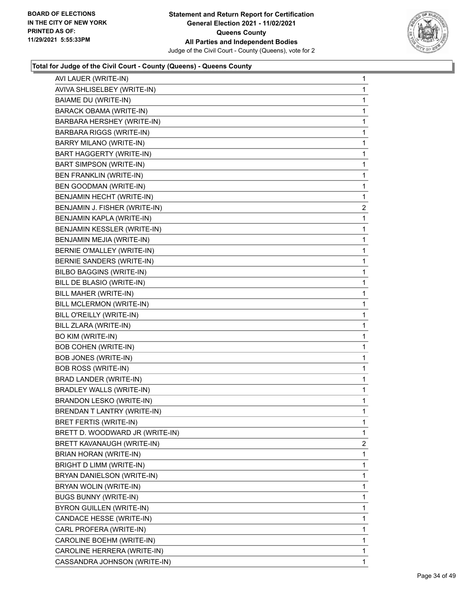

| AVI LAUER (WRITE-IN)            | 1            |
|---------------------------------|--------------|
| AVIVA SHLISELBEY (WRITE-IN)     | 1            |
| <b>BAIAME DU (WRITE-IN)</b>     | 1            |
| <b>BARACK OBAMA (WRITE-IN)</b>  | 1            |
| BARBARA HERSHEY (WRITE-IN)      | 1            |
| BARBARA RIGGS (WRITE-IN)        | 1            |
| BARRY MILANO (WRITE-IN)         | 1            |
| BART HAGGERTY (WRITE-IN)        | 1            |
| <b>BART SIMPSON (WRITE-IN)</b>  | 1            |
| BEN FRANKLIN (WRITE-IN)         | 1            |
| BEN GOODMAN (WRITE-IN)          | 1            |
| BENJAMIN HECHT (WRITE-IN)       | 1            |
| BENJAMIN J. FISHER (WRITE-IN)   | 2            |
| BENJAMIN KAPLA (WRITE-IN)       | 1            |
| BENJAMIN KESSLER (WRITE-IN)     | 1            |
| BENJAMIN MEJIA (WRITE-IN)       | 1            |
| BERNIE O'MALLEY (WRITE-IN)      | 1            |
| BERNIE SANDERS (WRITE-IN)       | 1            |
| BILBO BAGGINS (WRITE-IN)        | 1            |
| BILL DE BLASIO (WRITE-IN)       | 1            |
| BILL MAHER (WRITE-IN)           | 1            |
| BILL MCLERMON (WRITE-IN)        | 1            |
| BILL O'REILLY (WRITE-IN)        | 1            |
| BILL ZLARA (WRITE-IN)           | 1            |
| BO KIM (WRITE-IN)               | 1            |
| <b>BOB COHEN (WRITE-IN)</b>     | 1            |
| <b>BOB JONES (WRITE-IN)</b>     | 1            |
| <b>BOB ROSS (WRITE-IN)</b>      | 1            |
| BRAD LANDER (WRITE-IN)          | 1            |
| <b>BRADLEY WALLS (WRITE-IN)</b> | 1            |
| <b>BRANDON LESKO (WRITE-IN)</b> | 1            |
| BRENDAN T LANTRY (WRITE-IN)     | 1            |
| BRET FERTIS (WRITE-IN)          | 1            |
| BRETT D. WOODWARD JR (WRITE-IN) | 1            |
| BRETT KAVANAUGH (WRITE-IN)      | 2            |
| BRIAN HORAN (WRITE-IN)          | 1            |
| BRIGHT D LIMM (WRITE-IN)        | 1            |
| BRYAN DANIELSON (WRITE-IN)      | 1            |
| BRYAN WOLIN (WRITE-IN)          | 1            |
| <b>BUGS BUNNY (WRITE-IN)</b>    | 1            |
| BYRON GUILLEN (WRITE-IN)        | 1            |
| CANDACE HESSE (WRITE-IN)        | 1            |
| CARL PROFERA (WRITE-IN)         | 1            |
| CAROLINE BOEHM (WRITE-IN)       | 1            |
| CAROLINE HERRERA (WRITE-IN)     | 1            |
| CASSANDRA JOHNSON (WRITE-IN)    | $\mathbf{1}$ |
|                                 |              |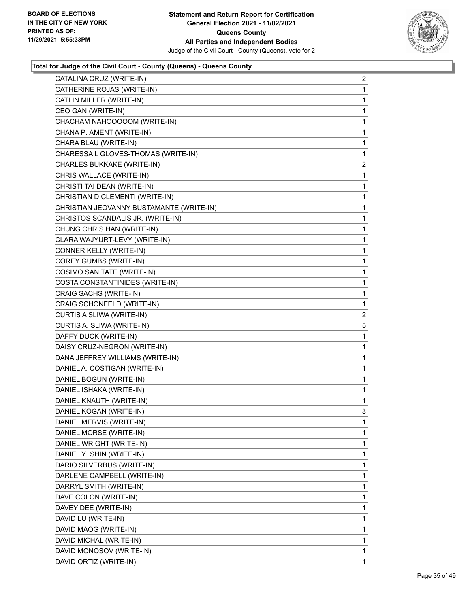

| CATALINA CRUZ (WRITE-IN)                 | 2 |
|------------------------------------------|---|
| CATHERINE ROJAS (WRITE-IN)               | 1 |
| CATLIN MILLER (WRITE-IN)                 | 1 |
| CEO GAN (WRITE-IN)                       | 1 |
| CHACHAM NAHOOOOOM (WRITE-IN)             | 1 |
| CHANA P. AMENT (WRITE-IN)                | 1 |
| CHARA BLAU (WRITE-IN)                    | 1 |
| CHARESSA L GLOVES-THOMAS (WRITE-IN)      | 1 |
| CHARLES BUKKAKE (WRITE-IN)               | 2 |
| CHRIS WALLACE (WRITE-IN)                 | 1 |
| CHRISTI TAI DEAN (WRITE-IN)              | 1 |
| CHRISTIAN DICLEMENTI (WRITE-IN)          | 1 |
| CHRISTIAN JEOVANNY BUSTAMANTE (WRITE-IN) | 1 |
| CHRISTOS SCANDALIS JR. (WRITE-IN)        | 1 |
| CHUNG CHRIS HAN (WRITE-IN)               | 1 |
| CLARA WAJYURT-LEVY (WRITE-IN)            | 1 |
| CONNER KELLY (WRITE-IN)                  | 1 |
| COREY GUMBS (WRITE-IN)                   | 1 |
| COSIMO SANITATE (WRITE-IN)               | 1 |
| COSTA CONSTANTINIDES (WRITE-IN)          | 1 |
| CRAIG SACHS (WRITE-IN)                   | 1 |
| CRAIG SCHONFELD (WRITE-IN)               | 1 |
| CURTIS A SLIWA (WRITE-IN)                | 2 |
| CURTIS A. SLIWA (WRITE-IN)               | 5 |
| DAFFY DUCK (WRITE-IN)                    | 1 |
| DAISY CRUZ-NEGRON (WRITE-IN)             | 1 |
| DANA JEFFREY WILLIAMS (WRITE-IN)         | 1 |
| DANIEL A. COSTIGAN (WRITE-IN)            | 1 |
| DANIEL BOGUN (WRITE-IN)                  | 1 |
| DANIEL ISHAKA (WRITE-IN)                 | 1 |
| DANIEL KNAUTH (WRITE-IN)                 | 1 |
| DANIEL KOGAN (WRITE-IN)                  | 3 |
| DANIEL MERVIS (WRITE-IN)                 | 1 |
| DANIEL MORSE (WRITE-IN)                  | 1 |
| DANIEL WRIGHT (WRITE-IN)                 | 1 |
| DANIEL Y. SHIN (WRITE-IN)                | 1 |
| DARIO SILVERBUS (WRITE-IN)               | 1 |
| DARLENE CAMPBELL (WRITE-IN)              | 1 |
| DARRYL SMITH (WRITE-IN)                  | 1 |
| DAVE COLON (WRITE-IN)                    | 1 |
| DAVEY DEE (WRITE-IN)                     | 1 |
| DAVID LU (WRITE-IN)                      | 1 |
| DAVID MAOG (WRITE-IN)                    | 1 |
| DAVID MICHAL (WRITE-IN)                  | 1 |
| DAVID MONOSOV (WRITE-IN)                 | 1 |
| DAVID ORTIZ (WRITE-IN)                   | 1 |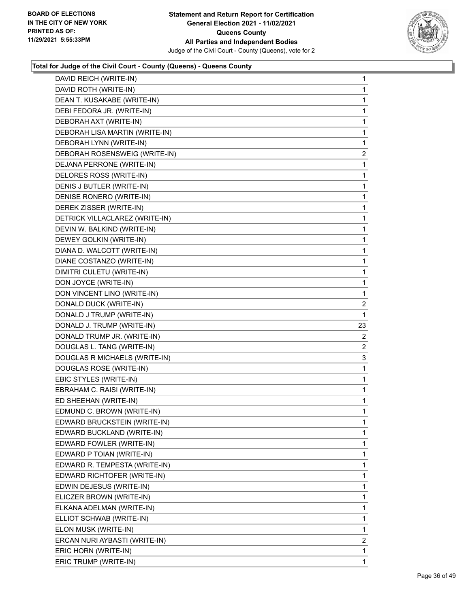

| DAVID REICH (WRITE-IN)         | $\mathbf{1}$   |
|--------------------------------|----------------|
| DAVID ROTH (WRITE-IN)          | $\mathbf{1}$   |
| DEAN T. KUSAKABE (WRITE-IN)    | $\mathbf{1}$   |
| DEBI FEDORA JR. (WRITE-IN)     | $\mathbf{1}$   |
| DEBORAH AXT (WRITE-IN)         | 1              |
| DEBORAH LISA MARTIN (WRITE-IN) | 1              |
| DEBORAH LYNN (WRITE-IN)        | $\mathbf 1$    |
| DEBORAH ROSENSWEIG (WRITE-IN)  | $\overline{c}$ |
| DEJANA PERRONE (WRITE-IN)      | 1              |
| DELORES ROSS (WRITE-IN)        | 1              |
| DENIS J BUTLER (WRITE-IN)      | $\mathbf{1}$   |
| DENISE RONERO (WRITE-IN)       | $\mathbf{1}$   |
| DEREK ZISSER (WRITE-IN)        | $\mathbf 1$    |
| DETRICK VILLACLAREZ (WRITE-IN) | $\mathbf{1}$   |
| DEVIN W. BALKIND (WRITE-IN)    | $\mathbf{1}$   |
| DEWEY GOLKIN (WRITE-IN)        | 1              |
| DIANA D. WALCOTT (WRITE-IN)    | $\mathbf 1$    |
| DIANE COSTANZO (WRITE-IN)      | $\mathbf{1}$   |
| DIMITRI CULETU (WRITE-IN)      | $\mathbf 1$    |
| DON JOYCE (WRITE-IN)           | 1              |
| DON VINCENT LINO (WRITE-IN)    | $\mathbf{1}$   |
| DONALD DUCK (WRITE-IN)         | 2              |
| DONALD J TRUMP (WRITE-IN)      | 1              |
| DONALD J. TRUMP (WRITE-IN)     | 23             |
| DONALD TRUMP JR. (WRITE-IN)    | 2              |
| DOUGLAS L. TANG (WRITE-IN)     | $\overline{2}$ |
| DOUGLAS R MICHAELS (WRITE-IN)  | 3              |
| DOUGLAS ROSE (WRITE-IN)        | $\mathbf{1}$   |
| EBIC STYLES (WRITE-IN)         | $\mathbf{1}$   |
| EBRAHAM C. RAISI (WRITE-IN)    | $\mathbf{1}$   |
| ED SHEEHAN (WRITE-IN)          | $\mathbf 1$    |
| EDMUND C. BROWN (WRITE-IN)     | 1              |
| EDWARD BRUCKSTEIN (WRITE-IN)   | 1              |
| EDWARD BUCKLAND (WRITE-IN)     | $\mathbf 1$    |
| EDWARD FOWLER (WRITE-IN)       | 1              |
| EDWARD P TOIAN (WRITE-IN)      | 1              |
| EDWARD R. TEMPESTA (WRITE-IN)  | 1              |
| EDWARD RICHTOFER (WRITE-IN)    | 1              |
| EDWIN DEJESUS (WRITE-IN)       | 1              |
| ELICZER BROWN (WRITE-IN)       | 1              |
| ELKANA ADELMAN (WRITE-IN)      | 1              |
| ELLIOT SCHWAB (WRITE-IN)       | 1              |
| ELON MUSK (WRITE-IN)           | 1              |
| ERCAN NURI AYBASTI (WRITE-IN)  | 2              |
|                                |                |
| ERIC HORN (WRITE-IN)           | 1              |
| ERIC TRUMP (WRITE-IN)          | 1              |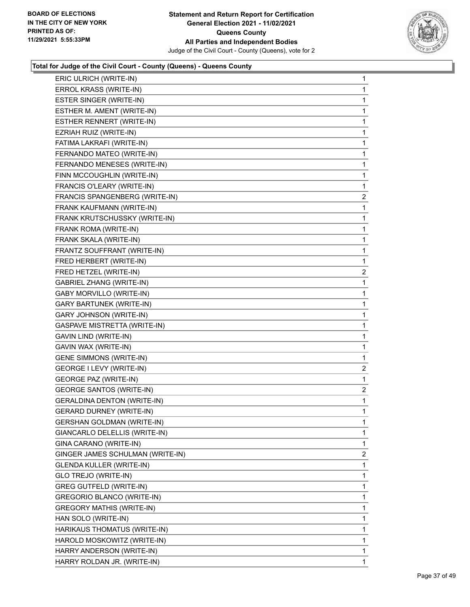

| ERIC ULRICH (WRITE-IN)           | $\mathbf{1}$ |
|----------------------------------|--------------|
| ERROL KRASS (WRITE-IN)           | $\mathbf{1}$ |
| ESTER SINGER (WRITE-IN)          | 1            |
| ESTHER M. AMENT (WRITE-IN)       | $\mathbf{1}$ |
| ESTHER RENNERT (WRITE-IN)        | 1            |
| EZRIAH RUIZ (WRITE-IN)           | 1            |
| FATIMA LAKRAFI (WRITE-IN)        | 1            |
| FERNANDO MATEO (WRITE-IN)        | $\mathbf{1}$ |
| FERNANDO MENESES (WRITE-IN)      | 1            |
| FINN MCCOUGHLIN (WRITE-IN)       | $\mathbf{1}$ |
| FRANCIS O'LEARY (WRITE-IN)       | 1            |
| FRANCIS SPANGENBERG (WRITE-IN)   | 2            |
| FRANK KAUFMANN (WRITE-IN)        | $\mathbf{1}$ |
| FRANK KRUTSCHUSSKY (WRITE-IN)    | $\mathbf{1}$ |
| FRANK ROMA (WRITE-IN)            | 1            |
| FRANK SKALA (WRITE-IN)           | $\mathbf{1}$ |
| FRANTZ SOUFFRANT (WRITE-IN)      | $\mathbf{1}$ |
| FRED HERBERT (WRITE-IN)          | 1            |
| FRED HETZEL (WRITE-IN)           | 2            |
| <b>GABRIEL ZHANG (WRITE-IN)</b>  | $\mathbf{1}$ |
| GABY MORVILLO (WRITE-IN)         | $\mathbf{1}$ |
| <b>GARY BARTUNEK (WRITE-IN)</b>  | $\mathbf 1$  |
| GARY JOHNSON (WRITE-IN)          | $\mathbf{1}$ |
| GASPAVE MISTRETTA (WRITE-IN)     | $\mathbf 1$  |
| GAVIN LIND (WRITE-IN)            | $\mathbf 1$  |
| GAVIN WAX (WRITE-IN)             | 1            |
| <b>GENE SIMMONS (WRITE-IN)</b>   | 1            |
| GEORGE I LEVY (WRITE-IN)         | 2            |
| <b>GEORGE PAZ (WRITE-IN)</b>     | 1            |
| <b>GEORGE SANTOS (WRITE-IN)</b>  | 2            |
| GERALDINA DENTON (WRITE-IN)      | $\mathbf{1}$ |
| <b>GERARD DURNEY (WRITE-IN)</b>  | 1            |
| GERSHAN GOLDMAN (WRITE-IN)       | 1            |
| GIANCARLO DELELLIS (WRITE-IN)    | $\mathbf 1$  |
| GINA CARANO (WRITE-IN)           | 1            |
| GINGER JAMES SCHULMAN (WRITE-IN) | 2            |
| <b>GLENDA KULLER (WRITE-IN)</b>  | 1            |
| GLO TREJO (WRITE-IN)             | 1            |
| GREG GUTFELD (WRITE-IN)          | 1            |
| GREGORIO BLANCO (WRITE-IN)       | 1            |
| <b>GREGORY MATHIS (WRITE-IN)</b> | 1            |
| HAN SOLO (WRITE-IN)              | 1            |
| HARIKAUS THOMATUS (WRITE-IN)     | 1            |
| HAROLD MOSKOWITZ (WRITE-IN)      | 1            |
| HARRY ANDERSON (WRITE-IN)        | 1            |
| HARRY ROLDAN JR. (WRITE-IN)      | 1            |
|                                  |              |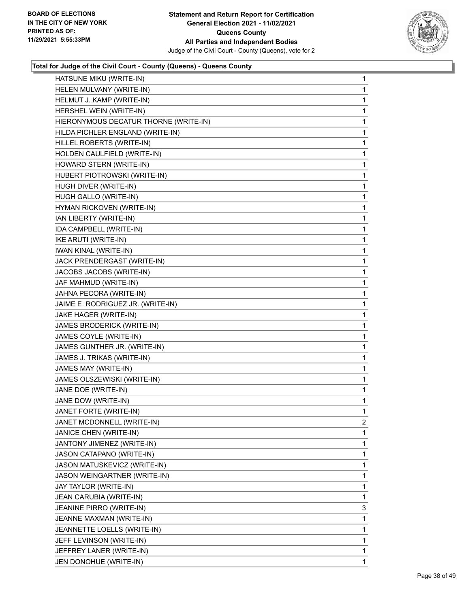

| HATSUNE MIKU (WRITE-IN)               | 1           |
|---------------------------------------|-------------|
| HELEN MULVANY (WRITE-IN)              | 1           |
| HELMUT J. KAMP (WRITE-IN)             | 1           |
| HERSHEL WEIN (WRITE-IN)               | 1           |
| HIERONYMOUS DECATUR THORNE (WRITE-IN) | 1           |
| HILDA PICHLER ENGLAND (WRITE-IN)      | 1           |
| HILLEL ROBERTS (WRITE-IN)             | 1           |
| HOLDEN CAULFIELD (WRITE-IN)           | 1           |
| HOWARD STERN (WRITE-IN)               | 1           |
| HUBERT PIOTROWSKI (WRITE-IN)          | 1           |
| HUGH DIVER (WRITE-IN)                 | 1           |
| HUGH GALLO (WRITE-IN)                 | 1           |
| HYMAN RICKOVEN (WRITE-IN)             | 1           |
| IAN LIBERTY (WRITE-IN)                | 1           |
| IDA CAMPBELL (WRITE-IN)               | 1           |
| IKE ARUTI (WRITE-IN)                  | 1           |
| <b>IWAN KINAL (WRITE-IN)</b>          | 1           |
| JACK PRENDERGAST (WRITE-IN)           | 1           |
| JACOBS JACOBS (WRITE-IN)              | 1           |
| JAF MAHMUD (WRITE-IN)                 | 1           |
| JAHNA PECORA (WRITE-IN)               | 1           |
| JAIME E. RODRIGUEZ JR. (WRITE-IN)     | 1           |
| JAKE HAGER (WRITE-IN)                 | 1           |
| JAMES BRODERICK (WRITE-IN)            | 1           |
| JAMES COYLE (WRITE-IN)                | 1           |
| JAMES GUNTHER JR. (WRITE-IN)          | 1           |
| JAMES J. TRIKAS (WRITE-IN)            | 1           |
| JAMES MAY (WRITE-IN)                  | 1           |
| JAMES OLSZEWISKI (WRITE-IN)           | 1           |
| JANE DOE (WRITE-IN)                   | 1           |
| JANE DOW (WRITE-IN)                   | 1           |
| JANET FORTE (WRITE-IN)                | 1           |
| JANET MCDONNELL (WRITE-IN)            | 2           |
| JANICE CHEN (WRITE-IN)                | 1           |
| JANTONY JIMENEZ (WRITE-IN)            | 1           |
| JASON CATAPANO (WRITE-IN)             | 1           |
| JASON MATUSKEVICZ (WRITE-IN)          | 1           |
| JASON WEINGARTNER (WRITE-IN)          | 1           |
| JAY TAYLOR (WRITE-IN)                 | 1           |
| JEAN CARUBIA (WRITE-IN)               | 1           |
| JEANINE PIRRO (WRITE-IN)              | 3           |
| JEANNE MAXMAN (WRITE-IN)              | 1           |
| JEANNETTE LOELLS (WRITE-IN)           | 1           |
| JEFF LEVINSON (WRITE-IN)              | 1           |
| JEFFREY LANER (WRITE-IN)              | 1           |
| JEN DONOHUE (WRITE-IN)                | $\mathbf 1$ |
|                                       |             |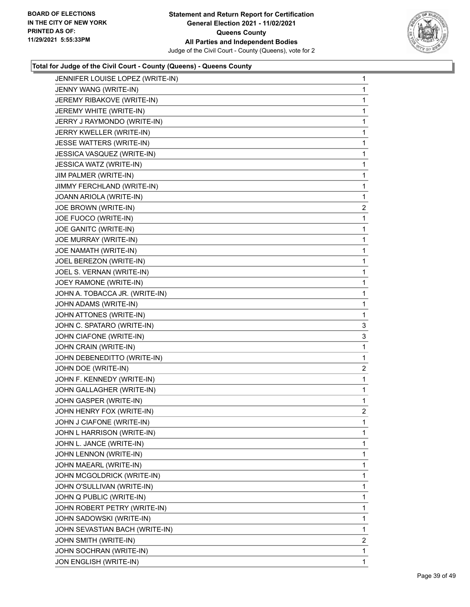

| JENNIFER LOUISE LOPEZ (WRITE-IN) | 1              |
|----------------------------------|----------------|
| JENNY WANG (WRITE-IN)            | 1              |
| JEREMY RIBAKOVE (WRITE-IN)       | 1              |
| JEREMY WHITE (WRITE-IN)          | 1              |
| JERRY J RAYMONDO (WRITE-IN)      | 1              |
| JERRY KWELLER (WRITE-IN)         | 1              |
| JESSE WATTERS (WRITE-IN)         | 1              |
| JESSICA VASQUEZ (WRITE-IN)       | 1              |
| JESSICA WATZ (WRITE-IN)          | 1              |
| JIM PALMER (WRITE-IN)            | 1              |
| JIMMY FERCHLAND (WRITE-IN)       | 1              |
| JOANN ARIOLA (WRITE-IN)          | 1              |
| JOE BROWN (WRITE-IN)             | $\overline{a}$ |
| JOE FUOCO (WRITE-IN)             | 1              |
| JOE GANITC (WRITE-IN)            | 1              |
| JOE MURRAY (WRITE-IN)            | 1              |
| JOE NAMATH (WRITE-IN)            | 1              |
| JOEL BEREZON (WRITE-IN)          | 1              |
| JOEL S. VERNAN (WRITE-IN)        | 1              |
| JOEY RAMONE (WRITE-IN)           | 1              |
| JOHN A. TOBACCA JR. (WRITE-IN)   | 1              |
| JOHN ADAMS (WRITE-IN)            | 1              |
| JOHN ATTONES (WRITE-IN)          | 1              |
| JOHN C. SPATARO (WRITE-IN)       | 3              |
| JOHN CIAFONE (WRITE-IN)          | 3              |
| JOHN CRAIN (WRITE-IN)            | 1              |
| JOHN DEBENEDITTO (WRITE-IN)      | 1              |
| JOHN DOE (WRITE-IN)              | $\overline{2}$ |
| JOHN F. KENNEDY (WRITE-IN)       | 1              |
| JOHN GALLAGHER (WRITE-IN)        | 1              |
| JOHN GASPER (WRITE-IN)           | 1              |
| JOHN HENRY FOX (WRITE-IN)        | $\overline{2}$ |
| JOHN J CIAFONE (WRITE-IN)        | 1              |
| JOHN L HARRISON (WRITE-IN)       | 1              |
| JOHN L. JANCE (WRITE-IN)         | 1              |
| JOHN LENNON (WRITE-IN)           | 1              |
| JOHN MAEARL (WRITE-IN)           | 1              |
| JOHN MCGOLDRICK (WRITE-IN)       | 1              |
| JOHN O'SULLIVAN (WRITE-IN)       | 1              |
| JOHN Q PUBLIC (WRITE-IN)         | 1              |
| JOHN ROBERT PETRY (WRITE-IN)     | 1              |
| JOHN SADOWSKI (WRITE-IN)         | 1              |
| JOHN SEVASTIAN BACH (WRITE-IN)   | 1              |
| JOHN SMITH (WRITE-IN)            | 2              |
| JOHN SOCHRAN (WRITE-IN)          | 1              |
| JON ENGLISH (WRITE-IN)           | 1              |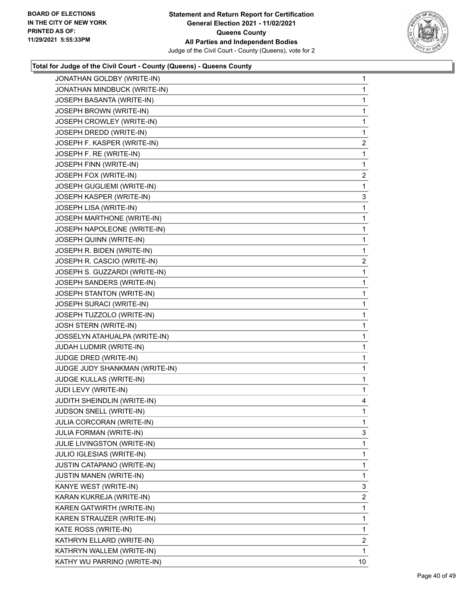

| JONATHAN GOLDBY (WRITE-IN)     | 1                       |
|--------------------------------|-------------------------|
| JONATHAN MINDBUCK (WRITE-IN)   | 1                       |
| JOSEPH BASANTA (WRITE-IN)      | 1                       |
| JOSEPH BROWN (WRITE-IN)        | 1                       |
| JOSEPH CROWLEY (WRITE-IN)      | 1                       |
| JOSEPH DREDD (WRITE-IN)        | 1                       |
| JOSEPH F. KASPER (WRITE-IN)    | $\overline{\mathbf{c}}$ |
| JOSEPH F. RE (WRITE-IN)        | 1                       |
| JOSEPH FINN (WRITE-IN)         | 1                       |
| JOSEPH FOX (WRITE-IN)          | $\overline{a}$          |
| JOSEPH GUGLIEMI (WRITE-IN)     | 1                       |
| JOSEPH KASPER (WRITE-IN)       | 3                       |
| JOSEPH LISA (WRITE-IN)         | 1                       |
| JOSEPH MARTHONE (WRITE-IN)     | 1                       |
| JOSEPH NAPOLEONE (WRITE-IN)    | 1                       |
| JOSEPH QUINN (WRITE-IN)        | 1                       |
| JOSEPH R. BIDEN (WRITE-IN)     | 1                       |
| JOSEPH R. CASCIO (WRITE-IN)    | $\overline{c}$          |
| JOSEPH S. GUZZARDI (WRITE-IN)  | 1                       |
| JOSEPH SANDERS (WRITE-IN)      | 1                       |
| JOSEPH STANTON (WRITE-IN)      | 1                       |
| JOSEPH SURACI (WRITE-IN)       | 1                       |
| JOSEPH TUZZOLO (WRITE-IN)      | $\mathbf{1}$            |
| JOSH STERN (WRITE-IN)          | 1                       |
| JOSSELYN ATAHUALPA (WRITE-IN)  | 1                       |
| JUDAH LUDMIR (WRITE-IN)        | 1                       |
| JUDGE DRED (WRITE-IN)          | 1                       |
| JUDGE JUDY SHANKMAN (WRITE-IN) | 1                       |
| JUDGE KULLAS (WRITE-IN)        | $\mathbf{1}$            |
| JUDI LEVY (WRITE-IN)           | 1                       |
| JUDITH SHEINDLIN (WRITE-IN)    | 4                       |
| JUDSON SNELL (WRITE-IN)        | 1                       |
| JULIA CORCORAN (WRITE-IN)      | 1                       |
| <b>JULIA FORMAN (WRITE-IN)</b> | 3                       |
| JULIE LIVINGSTON (WRITE-IN)    | 1                       |
| JULIO IGLESIAS (WRITE-IN)      | 1                       |
| JUSTIN CATAPANO (WRITE-IN)     | 1                       |
| <b>JUSTIN MANEN (WRITE-IN)</b> | 1                       |
| KANYE WEST (WRITE-IN)          | 3                       |
| KARAN KUKREJA (WRITE-IN)       | $\overline{2}$          |
| KAREN GATWIRTH (WRITE-IN)      | 1                       |
| KAREN STRAUZER (WRITE-IN)      | 1                       |
| KATE ROSS (WRITE-IN)           | 1                       |
| KATHRYN ELLARD (WRITE-IN)      | $\overline{2}$          |
| KATHRYN WALLEM (WRITE-IN)      | 1                       |
| KATHY WU PARRINO (WRITE-IN)    | 10                      |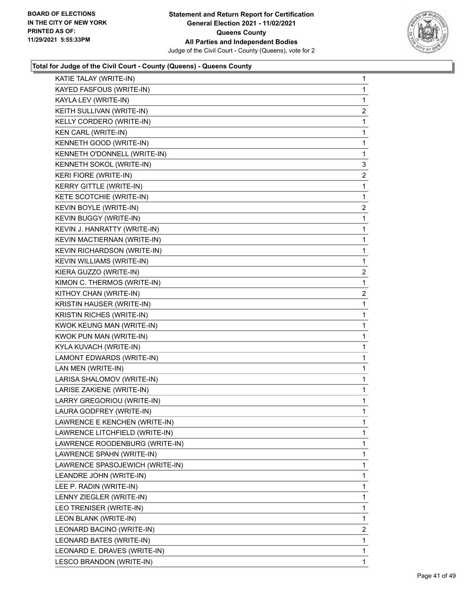

| KAYED FASFOUS (WRITE-IN)<br>KAYLA LEV (WRITE-IN)<br>KEITH SULLIVAN (WRITE-IN)<br>KELLY CORDERO (WRITE-IN)<br>KEN CARL (WRITE-IN)<br>KENNETH GOOD (WRITE-IN)<br>KENNETH O'DONNELL (WRITE-IN)<br>KENNETH SOKOL (WRITE-IN)<br><b>KERI FIORE (WRITE-IN)</b><br><b>KERRY GITTLE (WRITE-IN)</b><br>KETE SCOTCHIE (WRITE-IN)<br>KEVIN BOYLE (WRITE-IN)<br>KEVIN BUGGY (WRITE-IN)<br>KEVIN J. HANRATTY (WRITE-IN)<br>KEVIN MACTIERNAN (WRITE-IN)<br>KEVIN RICHARDSON (WRITE-IN)<br>KEVIN WILLIAMS (WRITE-IN)<br>KIERA GUZZO (WRITE-IN)<br>KIMON C. THERMOS (WRITE-IN)<br>KITHOY CHAN (WRITE-IN)<br>KRISTIN HAUSER (WRITE-IN)<br><b>KRISTIN RICHES (WRITE-IN)</b><br>KWOK KEUNG MAN (WRITE-IN)<br>KWOK PUN MAN (WRITE-IN)<br>KYLA KUVACH (WRITE-IN)<br>LAMONT EDWARDS (WRITE-IN)<br>LAN MEN (WRITE-IN)<br>LARISA SHALOMOV (WRITE-IN)<br>LARISE ZAKIENE (WRITE-IN)<br>LARRY GREGORIOU (WRITE-IN)<br>LAURA GODFREY (WRITE-IN)<br>LAWRENCE E KENCHEN (WRITE-IN)<br>LAWRENCE LITCHFIELD (WRITE-IN)<br>LAWRENCE ROODENBURG (WRITE-IN)<br>LAWRENCE SPAHN (WRITE-IN)<br>LAWRENCE SPASOJEWICH (WRITE-IN)<br>LEANDRE JOHN (WRITE-IN)<br>LEE P. RADIN (WRITE-IN)<br>LENNY ZIEGLER (WRITE-IN)<br>LEO TRENISER (WRITE-IN)<br>LEON BLANK (WRITE-IN)<br>LEONARD BACINO (WRITE-IN)<br>LEONARD BATES (WRITE-IN)<br>LEONARD E. DRAVES (WRITE-IN) | KATIE TALAY (WRITE-IN)   | $\mathbf{1}$   |
|------------------------------------------------------------------------------------------------------------------------------------------------------------------------------------------------------------------------------------------------------------------------------------------------------------------------------------------------------------------------------------------------------------------------------------------------------------------------------------------------------------------------------------------------------------------------------------------------------------------------------------------------------------------------------------------------------------------------------------------------------------------------------------------------------------------------------------------------------------------------------------------------------------------------------------------------------------------------------------------------------------------------------------------------------------------------------------------------------------------------------------------------------------------------------------------------------------------------------------------------------------------------------------------------------------------------|--------------------------|----------------|
|                                                                                                                                                                                                                                                                                                                                                                                                                                                                                                                                                                                                                                                                                                                                                                                                                                                                                                                                                                                                                                                                                                                                                                                                                                                                                                                        |                          | 1              |
|                                                                                                                                                                                                                                                                                                                                                                                                                                                                                                                                                                                                                                                                                                                                                                                                                                                                                                                                                                                                                                                                                                                                                                                                                                                                                                                        |                          | $\mathbf{1}$   |
|                                                                                                                                                                                                                                                                                                                                                                                                                                                                                                                                                                                                                                                                                                                                                                                                                                                                                                                                                                                                                                                                                                                                                                                                                                                                                                                        |                          | 2              |
|                                                                                                                                                                                                                                                                                                                                                                                                                                                                                                                                                                                                                                                                                                                                                                                                                                                                                                                                                                                                                                                                                                                                                                                                                                                                                                                        |                          | 1              |
|                                                                                                                                                                                                                                                                                                                                                                                                                                                                                                                                                                                                                                                                                                                                                                                                                                                                                                                                                                                                                                                                                                                                                                                                                                                                                                                        |                          | 1              |
|                                                                                                                                                                                                                                                                                                                                                                                                                                                                                                                                                                                                                                                                                                                                                                                                                                                                                                                                                                                                                                                                                                                                                                                                                                                                                                                        |                          | 1              |
|                                                                                                                                                                                                                                                                                                                                                                                                                                                                                                                                                                                                                                                                                                                                                                                                                                                                                                                                                                                                                                                                                                                                                                                                                                                                                                                        |                          | 1              |
|                                                                                                                                                                                                                                                                                                                                                                                                                                                                                                                                                                                                                                                                                                                                                                                                                                                                                                                                                                                                                                                                                                                                                                                                                                                                                                                        |                          | 3              |
|                                                                                                                                                                                                                                                                                                                                                                                                                                                                                                                                                                                                                                                                                                                                                                                                                                                                                                                                                                                                                                                                                                                                                                                                                                                                                                                        |                          | $\overline{2}$ |
|                                                                                                                                                                                                                                                                                                                                                                                                                                                                                                                                                                                                                                                                                                                                                                                                                                                                                                                                                                                                                                                                                                                                                                                                                                                                                                                        |                          | 1              |
|                                                                                                                                                                                                                                                                                                                                                                                                                                                                                                                                                                                                                                                                                                                                                                                                                                                                                                                                                                                                                                                                                                                                                                                                                                                                                                                        |                          | 1              |
|                                                                                                                                                                                                                                                                                                                                                                                                                                                                                                                                                                                                                                                                                                                                                                                                                                                                                                                                                                                                                                                                                                                                                                                                                                                                                                                        |                          | $\overline{c}$ |
|                                                                                                                                                                                                                                                                                                                                                                                                                                                                                                                                                                                                                                                                                                                                                                                                                                                                                                                                                                                                                                                                                                                                                                                                                                                                                                                        |                          | 1              |
|                                                                                                                                                                                                                                                                                                                                                                                                                                                                                                                                                                                                                                                                                                                                                                                                                                                                                                                                                                                                                                                                                                                                                                                                                                                                                                                        |                          | $\mathbf{1}$   |
|                                                                                                                                                                                                                                                                                                                                                                                                                                                                                                                                                                                                                                                                                                                                                                                                                                                                                                                                                                                                                                                                                                                                                                                                                                                                                                                        |                          | $\mathbf{1}$   |
|                                                                                                                                                                                                                                                                                                                                                                                                                                                                                                                                                                                                                                                                                                                                                                                                                                                                                                                                                                                                                                                                                                                                                                                                                                                                                                                        |                          | 1              |
|                                                                                                                                                                                                                                                                                                                                                                                                                                                                                                                                                                                                                                                                                                                                                                                                                                                                                                                                                                                                                                                                                                                                                                                                                                                                                                                        |                          | 1              |
|                                                                                                                                                                                                                                                                                                                                                                                                                                                                                                                                                                                                                                                                                                                                                                                                                                                                                                                                                                                                                                                                                                                                                                                                                                                                                                                        |                          | $\overline{c}$ |
|                                                                                                                                                                                                                                                                                                                                                                                                                                                                                                                                                                                                                                                                                                                                                                                                                                                                                                                                                                                                                                                                                                                                                                                                                                                                                                                        |                          | 1              |
|                                                                                                                                                                                                                                                                                                                                                                                                                                                                                                                                                                                                                                                                                                                                                                                                                                                                                                                                                                                                                                                                                                                                                                                                                                                                                                                        |                          | 2              |
|                                                                                                                                                                                                                                                                                                                                                                                                                                                                                                                                                                                                                                                                                                                                                                                                                                                                                                                                                                                                                                                                                                                                                                                                                                                                                                                        |                          | $\mathbf{1}$   |
|                                                                                                                                                                                                                                                                                                                                                                                                                                                                                                                                                                                                                                                                                                                                                                                                                                                                                                                                                                                                                                                                                                                                                                                                                                                                                                                        |                          | 1              |
|                                                                                                                                                                                                                                                                                                                                                                                                                                                                                                                                                                                                                                                                                                                                                                                                                                                                                                                                                                                                                                                                                                                                                                                                                                                                                                                        |                          | $\mathbf{1}$   |
|                                                                                                                                                                                                                                                                                                                                                                                                                                                                                                                                                                                                                                                                                                                                                                                                                                                                                                                                                                                                                                                                                                                                                                                                                                                                                                                        |                          | $\mathbf{1}$   |
|                                                                                                                                                                                                                                                                                                                                                                                                                                                                                                                                                                                                                                                                                                                                                                                                                                                                                                                                                                                                                                                                                                                                                                                                                                                                                                                        |                          | 1              |
|                                                                                                                                                                                                                                                                                                                                                                                                                                                                                                                                                                                                                                                                                                                                                                                                                                                                                                                                                                                                                                                                                                                                                                                                                                                                                                                        |                          | $\mathbf{1}$   |
|                                                                                                                                                                                                                                                                                                                                                                                                                                                                                                                                                                                                                                                                                                                                                                                                                                                                                                                                                                                                                                                                                                                                                                                                                                                                                                                        |                          | $\mathbf{1}$   |
|                                                                                                                                                                                                                                                                                                                                                                                                                                                                                                                                                                                                                                                                                                                                                                                                                                                                                                                                                                                                                                                                                                                                                                                                                                                                                                                        |                          | 1              |
|                                                                                                                                                                                                                                                                                                                                                                                                                                                                                                                                                                                                                                                                                                                                                                                                                                                                                                                                                                                                                                                                                                                                                                                                                                                                                                                        |                          | $\mathbf{1}$   |
|                                                                                                                                                                                                                                                                                                                                                                                                                                                                                                                                                                                                                                                                                                                                                                                                                                                                                                                                                                                                                                                                                                                                                                                                                                                                                                                        |                          | 1              |
|                                                                                                                                                                                                                                                                                                                                                                                                                                                                                                                                                                                                                                                                                                                                                                                                                                                                                                                                                                                                                                                                                                                                                                                                                                                                                                                        |                          | 1              |
|                                                                                                                                                                                                                                                                                                                                                                                                                                                                                                                                                                                                                                                                                                                                                                                                                                                                                                                                                                                                                                                                                                                                                                                                                                                                                                                        |                          | 1              |
|                                                                                                                                                                                                                                                                                                                                                                                                                                                                                                                                                                                                                                                                                                                                                                                                                                                                                                                                                                                                                                                                                                                                                                                                                                                                                                                        |                          | $\mathbf{1}$   |
|                                                                                                                                                                                                                                                                                                                                                                                                                                                                                                                                                                                                                                                                                                                                                                                                                                                                                                                                                                                                                                                                                                                                                                                                                                                                                                                        |                          | 1              |
|                                                                                                                                                                                                                                                                                                                                                                                                                                                                                                                                                                                                                                                                                                                                                                                                                                                                                                                                                                                                                                                                                                                                                                                                                                                                                                                        |                          | $\mathbf{1}$   |
|                                                                                                                                                                                                                                                                                                                                                                                                                                                                                                                                                                                                                                                                                                                                                                                                                                                                                                                                                                                                                                                                                                                                                                                                                                                                                                                        |                          | $\mathbf{1}$   |
|                                                                                                                                                                                                                                                                                                                                                                                                                                                                                                                                                                                                                                                                                                                                                                                                                                                                                                                                                                                                                                                                                                                                                                                                                                                                                                                        |                          | 1              |
|                                                                                                                                                                                                                                                                                                                                                                                                                                                                                                                                                                                                                                                                                                                                                                                                                                                                                                                                                                                                                                                                                                                                                                                                                                                                                                                        |                          | 1              |
|                                                                                                                                                                                                                                                                                                                                                                                                                                                                                                                                                                                                                                                                                                                                                                                                                                                                                                                                                                                                                                                                                                                                                                                                                                                                                                                        |                          | $\mathbf{1}$   |
|                                                                                                                                                                                                                                                                                                                                                                                                                                                                                                                                                                                                                                                                                                                                                                                                                                                                                                                                                                                                                                                                                                                                                                                                                                                                                                                        |                          | 1              |
|                                                                                                                                                                                                                                                                                                                                                                                                                                                                                                                                                                                                                                                                                                                                                                                                                                                                                                                                                                                                                                                                                                                                                                                                                                                                                                                        |                          | $\mathbf{1}$   |
|                                                                                                                                                                                                                                                                                                                                                                                                                                                                                                                                                                                                                                                                                                                                                                                                                                                                                                                                                                                                                                                                                                                                                                                                                                                                                                                        |                          | $\overline{2}$ |
|                                                                                                                                                                                                                                                                                                                                                                                                                                                                                                                                                                                                                                                                                                                                                                                                                                                                                                                                                                                                                                                                                                                                                                                                                                                                                                                        |                          | 1              |
|                                                                                                                                                                                                                                                                                                                                                                                                                                                                                                                                                                                                                                                                                                                                                                                                                                                                                                                                                                                                                                                                                                                                                                                                                                                                                                                        |                          | $\mathbf{1}$   |
|                                                                                                                                                                                                                                                                                                                                                                                                                                                                                                                                                                                                                                                                                                                                                                                                                                                                                                                                                                                                                                                                                                                                                                                                                                                                                                                        | LESCO BRANDON (WRITE-IN) | $\mathbf{1}$   |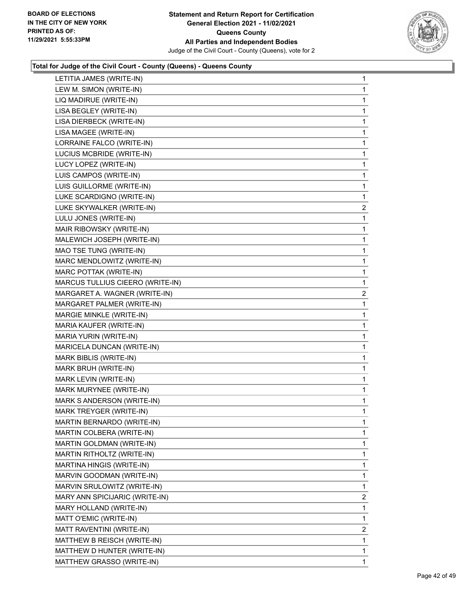

| LETITIA JAMES (WRITE-IN)         | 1              |
|----------------------------------|----------------|
| LEW M. SIMON (WRITE-IN)          | 1              |
| LIQ MADIRUE (WRITE-IN)           | 1              |
| LISA BEGLEY (WRITE-IN)           | 1              |
| LISA DIERBECK (WRITE-IN)         | 1              |
| LISA MAGEE (WRITE-IN)            | 1              |
| LORRAINE FALCO (WRITE-IN)        | 1              |
| LUCIUS MCBRIDE (WRITE-IN)        | 1              |
| LUCY LOPEZ (WRITE-IN)            | 1              |
| LUIS CAMPOS (WRITE-IN)           | 1              |
| LUIS GUILLORME (WRITE-IN)        | $\mathbf{1}$   |
| LUKE SCARDIGNO (WRITE-IN)        | 1              |
| LUKE SKYWALKER (WRITE-IN)        | $\overline{a}$ |
| LULU JONES (WRITE-IN)            | $\mathbf{1}$   |
| MAIR RIBOWSKY (WRITE-IN)         | 1              |
| MALEWICH JOSEPH (WRITE-IN)       | 1              |
| MAO TSE TUNG (WRITE-IN)          | $\mathbf{1}$   |
| MARC MENDLOWITZ (WRITE-IN)       | 1              |
| MARC POTTAK (WRITE-IN)           | 1              |
| MARCUS TULLIUS CIEERO (WRITE-IN) | $\mathbf{1}$   |
| MARGARET A. WAGNER (WRITE-IN)    | $\overline{2}$ |
| MARGARET PALMER (WRITE-IN)       | 1              |
| MARGIE MINKLE (WRITE-IN)         | 1              |
| MARIA KAUFER (WRITE-IN)          | 1              |
| MARIA YURIN (WRITE-IN)           | 1              |
| MARICELA DUNCAN (WRITE-IN)       | $\mathbf{1}$   |
| MARK BIBLIS (WRITE-IN)           | 1              |
| MARK BRUH (WRITE-IN)             | 1              |
| MARK LEVIN (WRITE-IN)            | 1              |
| MARK MURYNEE (WRITE-IN)          | 1              |
| MARK S ANDERSON (WRITE-IN)       | 1              |
| MARK TREYGER (WRITE-IN)          | 1              |
| MARTIN BERNARDO (WRITE-IN)       | 1              |
| MARTIN COLBERA (WRITE-IN)        | 1              |
| MARTIN GOLDMAN (WRITE-IN)        | 1              |
| MARTIN RITHOLTZ (WRITE-IN)       | 1              |
| MARTINA HINGIS (WRITE-IN)        | 1              |
| MARVIN GOODMAN (WRITE-IN)        | 1              |
| MARVIN SRULOWITZ (WRITE-IN)      | 1              |
| MARY ANN SPICIJARIC (WRITE-IN)   | $\overline{2}$ |
| MARY HOLLAND (WRITE-IN)          | 1              |
| MATT O'EMIC (WRITE-IN)           | 1              |
| MATT RAVENTINI (WRITE-IN)        | $\overline{2}$ |
| MATTHEW B REISCH (WRITE-IN)      | 1              |
| MATTHEW D HUNTER (WRITE-IN)      | 1              |
| MATTHEW GRASSO (WRITE-IN)        | 1              |
|                                  |                |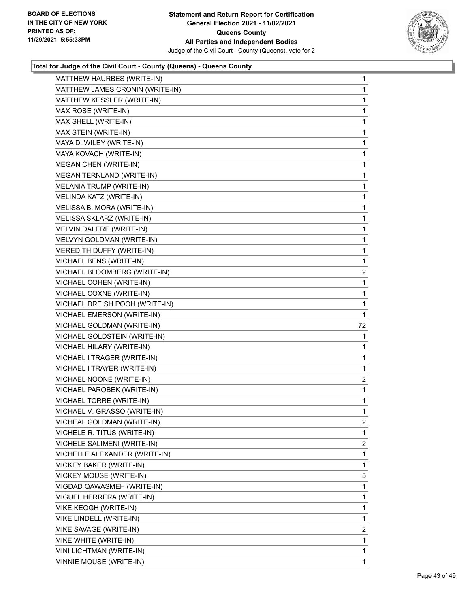

| MATTHEW HAURBES (WRITE-IN)      | 1              |
|---------------------------------|----------------|
| MATTHEW JAMES CRONIN (WRITE-IN) | 1              |
| MATTHEW KESSLER (WRITE-IN)      | 1              |
| MAX ROSE (WRITE-IN)             | 1              |
| MAX SHELL (WRITE-IN)            | 1              |
| MAX STEIN (WRITE-IN)            | 1              |
| MAYA D. WILEY (WRITE-IN)        | 1              |
| MAYA KOVACH (WRITE-IN)          | 1              |
| <b>MEGAN CHEN (WRITE-IN)</b>    | 1              |
| MEGAN TERNLAND (WRITE-IN)       | 1              |
| MELANIA TRUMP (WRITE-IN)        | 1              |
| MELINDA KATZ (WRITE-IN)         | 1              |
| MELISSA B. MORA (WRITE-IN)      | 1              |
| MELISSA SKLARZ (WRITE-IN)       | 1              |
| MELVIN DALERE (WRITE-IN)        | 1              |
| MELVYN GOLDMAN (WRITE-IN)       | 1              |
| MEREDITH DUFFY (WRITE-IN)       | 1              |
| MICHAEL BENS (WRITE-IN)         | 1              |
| MICHAEL BLOOMBERG (WRITE-IN)    | $\overline{2}$ |
| MICHAEL COHEN (WRITE-IN)        | 1              |
| MICHAEL COXNE (WRITE-IN)        | 1              |
| MICHAEL DREISH POOH (WRITE-IN)  | 1              |
| MICHAEL EMERSON (WRITE-IN)      | 1              |
|                                 |                |
| MICHAEL GOLDMAN (WRITE-IN)      | 72             |
| MICHAEL GOLDSTEIN (WRITE-IN)    | 1              |
| MICHAEL HILARY (WRITE-IN)       | 1              |
| MICHAEL I TRAGER (WRITE-IN)     | 1              |
| MICHAEL I TRAYER (WRITE-IN)     | 1              |
| MICHAEL NOONE (WRITE-IN)        | 2              |
| MICHAEL PAROBEK (WRITE-IN)      | 1              |
| MICHAEL TORRE (WRITE-IN)        | 1              |
| MICHAEL V. GRASSO (WRITE-IN)    | 1              |
| MICHEAL GOLDMAN (WRITE-IN)      | 2              |
| MICHELE R. TITUS (WRITE-IN)     | 1              |
| MICHELE SALIMENI (WRITE-IN)     | 2              |
| MICHELLE ALEXANDER (WRITE-IN)   | 1              |
| MICKEY BAKER (WRITE-IN)         | 1              |
| MICKEY MOUSE (WRITE-IN)         | 5              |
| MIGDAD QAWASMEH (WRITE-IN)      | 1              |
| MIGUEL HERRERA (WRITE-IN)       | 1              |
| MIKE KEOGH (WRITE-IN)           | 1              |
| MIKE LINDELL (WRITE-IN)         | 1              |
| MIKE SAVAGE (WRITE-IN)          | $\overline{2}$ |
| MIKE WHITE (WRITE-IN)           | 1              |
| MINI LICHTMAN (WRITE-IN)        | 1              |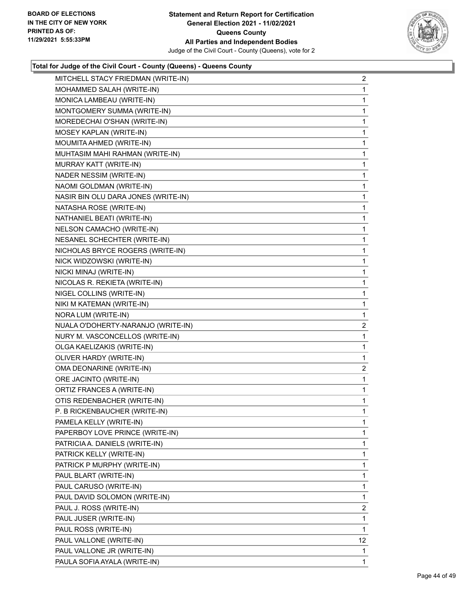

| MITCHELL STACY FRIEDMAN (WRITE-IN)  | $\overline{2}$ |
|-------------------------------------|----------------|
| MOHAMMED SALAH (WRITE-IN)           | 1              |
| MONICA LAMBEAU (WRITE-IN)           | 1              |
| MONTGOMERY SUMMA (WRITE-IN)         | 1              |
| MOREDECHAI O'SHAN (WRITE-IN)        | 1              |
| MOSEY KAPLAN (WRITE-IN)             | 1              |
| MOUMITA AHMED (WRITE-IN)            | $\mathbf{1}$   |
| MUHTASIM MAHI RAHMAN (WRITE-IN)     | 1              |
| MURRAY KATT (WRITE-IN)              | 1              |
| NADER NESSIM (WRITE-IN)             | $\mathbf{1}$   |
| NAOMI GOLDMAN (WRITE-IN)            | 1              |
| NASIR BIN OLU DARA JONES (WRITE-IN) | 1              |
| NATASHA ROSE (WRITE-IN)             | $\mathbf{1}$   |
| NATHANIEL BEATI (WRITE-IN)          | 1              |
| NELSON CAMACHO (WRITE-IN)           | 1              |
| NESANEL SCHECHTER (WRITE-IN)        | $\mathbf{1}$   |
| NICHOLAS BRYCE ROGERS (WRITE-IN)    | 1              |
| NICK WIDZOWSKI (WRITE-IN)           | 1              |
| NICKI MINAJ (WRITE-IN)              | $\mathbf{1}$   |
| NICOLAS R. REKIETA (WRITE-IN)       | 1              |
| NIGEL COLLINS (WRITE-IN)            | 1              |
| NIKI M KATEMAN (WRITE-IN)           | 1              |
| NORA LUM (WRITE-IN)                 | 1              |
| NUALA O'DOHERTY-NARANJO (WRITE-IN)  | 2              |
| NURY M. VASCONCELLOS (WRITE-IN)     | 1              |
| OLGA KAELIZAKIS (WRITE-IN)          | 1              |
| OLIVER HARDY (WRITE-IN)             | 1              |
| OMA DEONARINE (WRITE-IN)            | $\overline{2}$ |
| ORE JACINTO (WRITE-IN)              | 1              |
| ORTIZ FRANCES A (WRITE-IN)          | 1              |
| OTIS REDENBACHER (WRITE-IN)         | 1              |
| P. B RICKENBAUCHER (WRITE-IN)       | 1              |
| PAMELA KELLY (WRITE-IN)             | 1              |
| PAPERBOY LOVE PRINCE (WRITE-IN)     | 1              |
| PATRICIA A. DANIELS (WRITE-IN)      | 1              |
| PATRICK KELLY (WRITE-IN)            | 1              |
| PATRICK P MURPHY (WRITE-IN)         | 1              |
| PAUL BLART (WRITE-IN)               | 1              |
| PAUL CARUSO (WRITE-IN)              | 1              |
| PAUL DAVID SOLOMON (WRITE-IN)       | 1              |
| PAUL J. ROSS (WRITE-IN)             | $\overline{2}$ |
| PAUL JUSER (WRITE-IN)               | 1              |
| PAUL ROSS (WRITE-IN)                | 1              |
| PAUL VALLONE (WRITE-IN)             | 12             |
| PAUL VALLONE JR (WRITE-IN)          | 1              |
| PAULA SOFIA AYALA (WRITE-IN)        | 1              |
|                                     |                |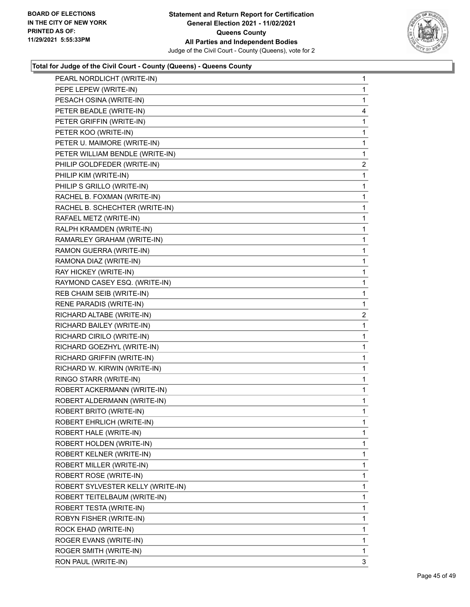

| PEARL NORDLICHT (WRITE-IN)        | 1              |
|-----------------------------------|----------------|
| PEPE LEPEW (WRITE-IN)             | 1              |
| PESACH OSINA (WRITE-IN)           | 1              |
| PETER BEADLE (WRITE-IN)           | 4              |
| PETER GRIFFIN (WRITE-IN)          | 1              |
| PETER KOO (WRITE-IN)              | 1              |
| PETER U. MAIMORE (WRITE-IN)       | 1              |
| PETER WILLIAM BENDLE (WRITE-IN)   | 1              |
| PHILIP GOLDFEDER (WRITE-IN)       | $\overline{2}$ |
| PHILIP KIM (WRITE-IN)             | 1              |
| PHILIP S GRILLO (WRITE-IN)        | 1              |
| RACHEL B. FOXMAN (WRITE-IN)       | 1              |
| RACHEL B. SCHECHTER (WRITE-IN)    | 1              |
| RAFAEL METZ (WRITE-IN)            | 1              |
| RALPH KRAMDEN (WRITE-IN)          | 1              |
| RAMARLEY GRAHAM (WRITE-IN)        | 1              |
| RAMON GUERRA (WRITE-IN)           | 1              |
| RAMONA DIAZ (WRITE-IN)            | 1              |
| RAY HICKEY (WRITE-IN)             | 1              |
| RAYMOND CASEY ESQ. (WRITE-IN)     | 1              |
| REB CHAIM SEIB (WRITE-IN)         | 1              |
| RENE PARADIS (WRITE-IN)           | 1              |
| RICHARD ALTABE (WRITE-IN)         | 2              |
| RICHARD BAILEY (WRITE-IN)         | 1              |
| RICHARD CIRILO (WRITE-IN)         | 1              |
| RICHARD GOEZHYL (WRITE-IN)        | 1              |
| RICHARD GRIFFIN (WRITE-IN)        | 1              |
| RICHARD W. KIRWIN (WRITE-IN)      | 1              |
| RINGO STARR (WRITE-IN)            | 1              |
| ROBERT ACKERMANN (WRITE-IN)       | 1              |
| ROBERT ALDERMANN (WRITE-IN)       | 1              |
| ROBERT BRITO (WRITE-IN)           | 1              |
| ROBERT EHRLICH (WRITE-IN)         | 1              |
| ROBERT HALE (WRITE-IN)            | 1              |
| ROBERT HOLDEN (WRITE-IN)          | 1              |
| ROBERT KELNER (WRITE-IN)          | 1              |
| ROBERT MILLER (WRITE-IN)          | 1              |
| ROBERT ROSE (WRITE-IN)            | 1              |
| ROBERT SYLVESTER KELLY (WRITE-IN) | 1              |
| ROBERT TEITELBAUM (WRITE-IN)      | 1              |
| ROBERT TESTA (WRITE-IN)           | 1              |
| ROBYN FISHER (WRITE-IN)           | 1              |
| ROCK EHAD (WRITE-IN)              | 1              |
| ROGER EVANS (WRITE-IN)            | 1              |
| ROGER SMITH (WRITE-IN)            | 1              |
| RON PAUL (WRITE-IN)               | 3              |
|                                   |                |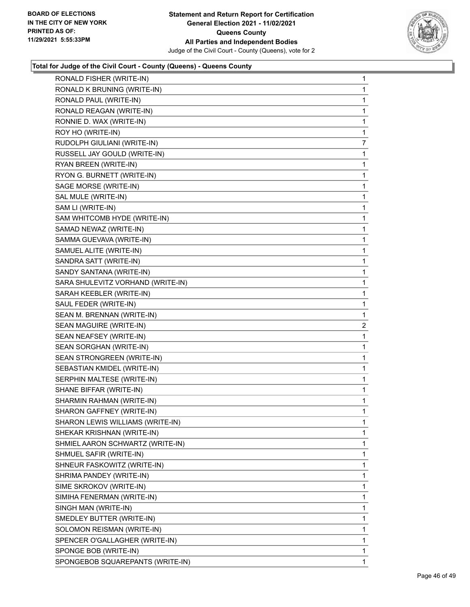

| RONALD FISHER (WRITE-IN)          | 1 |
|-----------------------------------|---|
| RONALD K BRUNING (WRITE-IN)       | 1 |
| RONALD PAUL (WRITE-IN)            | 1 |
| RONALD REAGAN (WRITE-IN)          | 1 |
| RONNIE D. WAX (WRITE-IN)          | 1 |
| ROY HO (WRITE-IN)                 | 1 |
| RUDOLPH GIULIANI (WRITE-IN)       | 7 |
| RUSSELL JAY GOULD (WRITE-IN)      | 1 |
| RYAN BREEN (WRITE-IN)             | 1 |
| RYON G. BURNETT (WRITE-IN)        | 1 |
| SAGE MORSE (WRITE-IN)             | 1 |
| SAL MULE (WRITE-IN)               | 1 |
| SAM LI (WRITE-IN)                 | 1 |
| SAM WHITCOMB HYDE (WRITE-IN)      | 1 |
| SAMAD NEWAZ (WRITE-IN)            | 1 |
| SAMMA GUEVAVA (WRITE-IN)          | 1 |
| SAMUEL ALITE (WRITE-IN)           | 1 |
| SANDRA SATT (WRITE-IN)            | 1 |
| SANDY SANTANA (WRITE-IN)          | 1 |
| SARA SHULEVITZ VORHAND (WRITE-IN) | 1 |
| SARAH KEEBLER (WRITE-IN)          | 1 |
| SAUL FEDER (WRITE-IN)             | 1 |
| SEAN M. BRENNAN (WRITE-IN)        | 1 |
| SEAN MAGUIRE (WRITE-IN)           | 2 |
| SEAN NEAFSEY (WRITE-IN)           | 1 |
| SEAN SORGHAN (WRITE-IN)           | 1 |
| SEAN STRONGREEN (WRITE-IN)        | 1 |
| SEBASTIAN KMIDEL (WRITE-IN)       | 1 |
| SERPHIN MALTESE (WRITE-IN)        | 1 |
| SHANE BIFFAR (WRITE-IN)           | 1 |
| SHARMIN RAHMAN (WRITE-IN)         | 1 |
| SHARON GAFFNEY (WRITE-IN)         | 1 |
| SHARON LEWIS WILLIAMS (WRITE-IN)  | 1 |
| SHEKAR KRISHNAN (WRITE-IN)        | 1 |
| SHMIEL AARON SCHWARTZ (WRITE-IN)  | 1 |
| SHMUEL SAFIR (WRITE-IN)           | 1 |
| SHNEUR FASKOWITZ (WRITE-IN)       | 1 |
| SHRIMA PANDEY (WRITE-IN)          | 1 |
| SIME SKROKOV (WRITE-IN)           | 1 |
| SIMIHA FENERMAN (WRITE-IN)        | 1 |
| SINGH MAN (WRITE-IN)              | 1 |
| SMEDLEY BUTTER (WRITE-IN)         | 1 |
| SOLOMON REISMAN (WRITE-IN)        | 1 |
| SPENCER O'GALLAGHER (WRITE-IN)    | 1 |
| SPONGE BOB (WRITE-IN)             | 1 |
| SPONGEBOB SQUAREPANTS (WRITE-IN)  | 1 |
|                                   |   |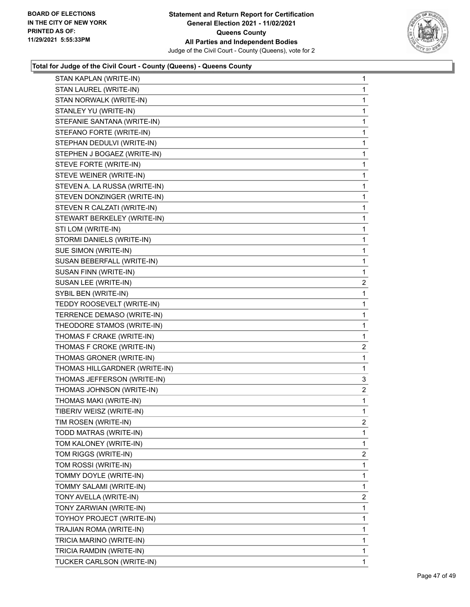

| STAN KAPLAN (WRITE-IN)        | 1              |
|-------------------------------|----------------|
| STAN LAUREL (WRITE-IN)        | 1              |
| STAN NORWALK (WRITE-IN)       | 1              |
| STANLEY YU (WRITE-IN)         | 1              |
| STEFANIE SANTANA (WRITE-IN)   | 1              |
| STEFANO FORTE (WRITE-IN)      | 1              |
| STEPHAN DEDULVI (WRITE-IN)    | 1              |
| STEPHEN J BOGAEZ (WRITE-IN)   | 1              |
| STEVE FORTE (WRITE-IN)        | 1              |
| STEVE WEINER (WRITE-IN)       | 1              |
| STEVEN A. LA RUSSA (WRITE-IN) | 1              |
| STEVEN DONZINGER (WRITE-IN)   | 1              |
| STEVEN R CALZATI (WRITE-IN)   | 1              |
| STEWART BERKELEY (WRITE-IN)   | 1              |
| STI LOM (WRITE-IN)            | 1              |
| STORMI DANIELS (WRITE-IN)     | 1              |
| SUE SIMON (WRITE-IN)          | 1              |
| SUSAN BEBERFALL (WRITE-IN)    | 1              |
| SUSAN FINN (WRITE-IN)         | 1              |
| SUSAN LEE (WRITE-IN)          | $\overline{2}$ |
| SYBIL BEN (WRITE-IN)          | $\mathbf{1}$   |
| TEDDY ROOSEVELT (WRITE-IN)    | 1              |
| TERRENCE DEMASO (WRITE-IN)    | 1              |
| THEODORE STAMOS (WRITE-IN)    | 1              |
| THOMAS F CRAKE (WRITE-IN)     | 1              |
| THOMAS F CROKE (WRITE-IN)     | $\overline{2}$ |
| THOMAS GRONER (WRITE-IN)      | $\mathbf{1}$   |
| THOMAS HILLGARDNER (WRITE-IN) | 1              |
| THOMAS JEFFERSON (WRITE-IN)   | 3              |
| THOMAS JOHNSON (WRITE-IN)     | $\overline{2}$ |
| THOMAS MAKI (WRITE-IN)        | 1              |
| TIBERIV WEISZ (WRITE-IN)      | 1              |
| TIM ROSEN (WRITE-IN)          | 2              |
| TODD MATRAS (WRITE-IN)        | 1              |
| TOM KALONEY (WRITE-IN)        | 1              |
| TOM RIGGS (WRITE-IN)          | $\overline{2}$ |
| TOM ROSSI (WRITE-IN)          | 1              |
| TOMMY DOYLE (WRITE-IN)        | 1              |
| TOMMY SALAMI (WRITE-IN)       | 1              |
| TONY AVELLA (WRITE-IN)        | $\overline{2}$ |
| TONY ZARWIAN (WRITE-IN)       | 1              |
| TOYHOY PROJECT (WRITE-IN)     | 1              |
| TRAJIAN ROMA (WRITE-IN)       | 1              |
| TRICIA MARINO (WRITE-IN)      | 1              |
| TRICIA RAMDIN (WRITE-IN)      | 1              |
| TUCKER CARLSON (WRITE-IN)     | 1              |
|                               |                |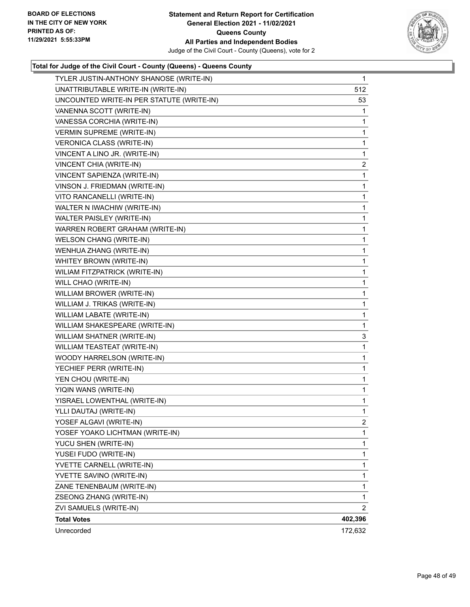

| TYLER JUSTIN-ANTHONY SHANOSE (WRITE-IN)   | $\mathbf 1$             |
|-------------------------------------------|-------------------------|
| UNATTRIBUTABLE WRITE-IN (WRITE-IN)        | 512                     |
| UNCOUNTED WRITE-IN PER STATUTE (WRITE-IN) | 53                      |
| VANENNA SCOTT (WRITE-IN)                  | 1                       |
| VANESSA CORCHIA (WRITE-IN)                | 1                       |
| <b>VERMIN SUPREME (WRITE-IN)</b>          | 1                       |
| VERONICA CLASS (WRITE-IN)                 | 1                       |
| VINCENT A LINO JR. (WRITE-IN)             | 1                       |
| VINCENT CHIA (WRITE-IN)                   | $\overline{\mathbf{c}}$ |
| VINCENT SAPIENZA (WRITE-IN)               | 1                       |
| VINSON J. FRIEDMAN (WRITE-IN)             | 1                       |
| VITO RANCANELLI (WRITE-IN)                | 1                       |
| WALTER N IWACHIW (WRITE-IN)               | 1                       |
| WALTER PAISLEY (WRITE-IN)                 | 1                       |
| WARREN ROBERT GRAHAM (WRITE-IN)           | 1                       |
| <b>WELSON CHANG (WRITE-IN)</b>            | 1                       |
| WENHUA ZHANG (WRITE-IN)                   | 1                       |
| WHITEY BROWN (WRITE-IN)                   | 1                       |
| WILIAM FITZPATRICK (WRITE-IN)             | 1                       |
| WILL CHAO (WRITE-IN)                      | 1                       |
| WILLIAM BROWER (WRITE-IN)                 | 1                       |
| WILLIAM J. TRIKAS (WRITE-IN)              | 1                       |
| WILLIAM LABATE (WRITE-IN)                 | 1                       |
| WILLIAM SHAKESPEARE (WRITE-IN)            | 1                       |
| WILLIAM SHATNER (WRITE-IN)                | 3                       |
| WILLIAM TEASTEAT (WRITE-IN)               | 1                       |
| WOODY HARRELSON (WRITE-IN)                | 1                       |
| YECHIEF PERR (WRITE-IN)                   | 1                       |
| YEN CHOU (WRITE-IN)                       | 1                       |
| YIQIN WANS (WRITE-IN)                     | 1                       |
| YISRAEL LOWENTHAL (WRITE-IN)              | 1                       |
| YLLI DAUTAJ (WRITE-IN)                    | 1                       |
| YOSEF ALGAVI (WRITE-IN)                   | 2                       |
| YOSEF YOAKO LICHTMAN (WRITE-IN)           | 1                       |
| YUCU SHEN (WRITE-IN)                      | 1                       |
| YUSEI FUDO (WRITE-IN)                     | 1                       |
| YVETTE CARNELL (WRITE-IN)                 | 1                       |
| YVETTE SAVINO (WRITE-IN)                  | 1                       |
| ZANE TENENBAUM (WRITE-IN)                 | 1                       |
| ZSEONG ZHANG (WRITE-IN)                   | 1                       |
| ZVI SAMUELS (WRITE-IN)                    | 2                       |
| <b>Total Votes</b>                        | 402,396                 |
| Unrecorded                                | 172,632                 |